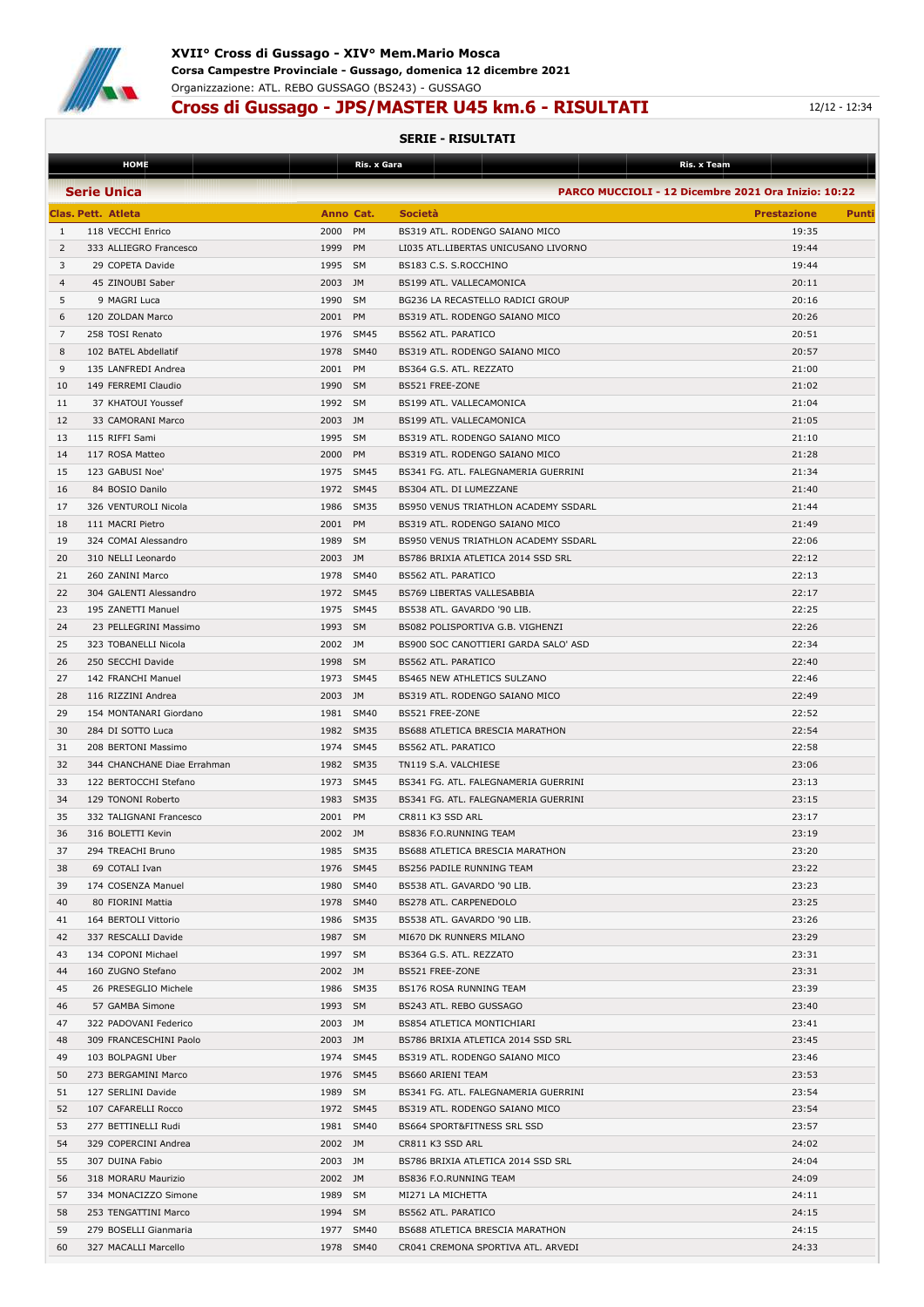

## **Cross di Gussago - JPS/MASTER U45 km.6 - RISULTATI 12/12 - 12:34**

|                | <b>HOME</b>                 |           | Ris. x Gara |                                        | Ris. x Team                                                |
|----------------|-----------------------------|-----------|-------------|----------------------------------------|------------------------------------------------------------|
|                | <b>Serie Unica</b>          |           |             |                                        | <b>PARCO MUCCIOLI - 12 Dicembre 2021 Ora Inizio: 10:22</b> |
|                |                             |           |             |                                        |                                                            |
|                | <b>Clas. Pett. Atleta</b>   | Anno Cat. |             | <b>Società</b>                         | <b>Prestazione</b><br>Punti                                |
| 1              | 118 VECCHI Enrico           | 2000 PM   |             | BS319 ATL. RODENGO SAIANO MICO         | 19:35                                                      |
| 2              | 333 ALLIEGRO Francesco      | 1999 PM   |             | LI035 ATL.LIBERTAS UNICUSANO LIVORNO   | 19:44                                                      |
| 3              | 29 COPETA Davide            | 1995 SM   |             | BS183 C.S. S.ROCCHINO                  | 19:44                                                      |
| $\overline{4}$ | 45 ZINOUBI Saber            | 2003 JM   |             | BS199 ATL. VALLECAMONICA               | 20:11                                                      |
| 5              | 9 MAGRI Luca                | 1990      | <b>SM</b>   | BG236 LA RECASTELLO RADICI GROUP       | 20:16                                                      |
| 6              | 120 ZOLDAN Marco            | 2001      | PM          | BS319 ATL. RODENGO SAIANO MICO         | 20:26                                                      |
| 7              | 258 TOSI Renato             | 1976 SM45 |             | <b>BS562 ATL, PARATICO</b>             | 20:51                                                      |
| 8              | 102 BATEL Abdellatif        | 1978 SM40 |             | BS319 ATL. RODENGO SAIANO MICO         | 20:57                                                      |
| 9              | 135 LANFREDI Andrea         | 2001      | PM          | BS364 G.S. ATL. REZZATO                | 21:00                                                      |
| 10             | 149 FERREMI Claudio         | 1990 SM   |             | BS521 FREE-ZONE                        | 21:02                                                      |
|                |                             |           |             |                                        |                                                            |
| 11             | 37 KHATOUI Youssef          | 1992 SM   |             | BS199 ATL. VALLECAMONICA               | 21:04                                                      |
| 12             | 33 CAMORANI Marco           | 2003 JM   |             | BS199 ATL. VALLECAMONICA               | 21:05                                                      |
| 13             | 115 RIFFI Sami              | 1995 SM   |             | BS319 ATL. RODENGO SAIANO MICO         | 21:10                                                      |
| 14             | 117 ROSA Matteo             | 2000      | <b>PM</b>   | BS319 ATL. RODENGO SAIANO MICO         | 21:28                                                      |
| 15             | 123 GABUSI Noe'             | 1975 SM45 |             | BS341 FG. ATL. FALEGNAMERIA GUERRINI   | 21:34                                                      |
| 16             | 84 BOSIO Danilo             | 1972 SM45 |             | BS304 ATL. DI LUMEZZANE                | 21:40                                                      |
| 17             | 326 VENTUROLI Nicola        | 1986 SM35 |             | BS950 VENUS TRIATHLON ACADEMY SSDARL   | 21:44                                                      |
| 18             | 111 MACRI Pietro            | 2001      | PM          | BS319 ATL. RODENGO SAIANO MICO         | 21:49                                                      |
| 19             | 324 COMAI Alessandro        | 1989      | <b>SM</b>   | BS950 VENUS TRIATHLON ACADEMY SSDARL   | 22:06                                                      |
| 20             | 310 NELLI Leonardo          | 2003 JM   |             | BS786 BRIXIA ATLETICA 2014 SSD SRL     | 22:12                                                      |
| 21             | 260 ZANINI Marco            | 1978 SM40 |             | BS562 ATL. PARATICO                    | 22:13                                                      |
| 22             | 304 GALENTI Alessandro      | 1972 SM45 |             | BS769 LIBERTAS VALLESABBIA             | 22:17                                                      |
| 23             | 195 ZANETTI Manuel          | 1975 SM45 |             | BS538 ATL. GAVARDO '90 LIB.            | 22:25                                                      |
| 24             | 23 PELLEGRINI Massimo       | 1993 SM   |             | BS082 POLISPORTIVA G.B. VIGHENZI       | 22:26                                                      |
|                |                             |           |             |                                        |                                                            |
| 25             | 323 TOBANELLI Nicola        | 2002 JM   |             | BS900 SOC CANOTTIERI GARDA SALO' ASD   | 22:34                                                      |
| 26             | 250 SECCHI Davide           | 1998 SM   |             | BS562 ATL. PARATICO                    | 22:40                                                      |
| 27             | 142 FRANCHI Manuel          | 1973 SM45 |             | <b>BS465 NEW ATHLETICS SULZANO</b>     | 22:46                                                      |
| 28             | 116 RIZZINI Andrea          | 2003 JM   |             | BS319 ATL. RODENGO SAIANO MICO         | 22:49                                                      |
| 29             | 154 MONTANARI Giordano      | 1981 SM40 |             | BS521 FREE-ZONE                        | 22:52                                                      |
| 30             | 284 DI SOTTO Luca           | 1982 SM35 |             | BS688 ATLETICA BRESCIA MARATHON        | 22:54                                                      |
| 31             | 208 BERTONI Massimo         | 1974 SM45 |             | BS562 ATL. PARATICO                    | 22:58                                                      |
| 32             | 344 CHANCHANE Diae Errahman | 1982 SM35 |             | TN119 S.A. VALCHIESE                   | 23:06                                                      |
| 33             | 122 BERTOCCHI Stefano       | 1973 SM45 |             | BS341 FG. ATL. FALEGNAMERIA GUERRINI   | 23:13                                                      |
| 34             | 129 TONONI Roberto          | 1983 SM35 |             | BS341 FG. ATL. FALEGNAMERIA GUERRINI   | 23:15                                                      |
| 35             | 332 TALIGNANI Francesco     | 2001 PM   |             | CR811 K3 SSD ARL                       | 23:17                                                      |
| 36             | 316 BOLETTI Kevin           | 2002 JM   |             | <b>BS836 F.O.RUNNING TEAM</b>          | 23:19                                                      |
| 37             | 294 TREACHI Bruno           | 1985 SM35 |             | <b>BS688 ATLETICA BRESCIA MARATHON</b> | 23:20                                                      |
| 38             | 69 COTALI Ivan              | 1976 SM45 |             | BS256 PADILE RUNNING TEAM              | 23:22                                                      |
| 39             | 174 COSENZA Manuel          | 1980 SM40 |             | BS538 ATL. GAVARDO '90 LIB.            | 23:23                                                      |
|                |                             |           |             |                                        |                                                            |
| 40             | 80 FIORINI Mattia           | 1978 SM40 |             | BS278 ATL. CARPENEDOLO                 | 23:25                                                      |
| 41             | 164 BERTOLI Vittorio        | 1986 SM35 |             | BS538 ATL. GAVARDO '90 LIB.            | 23:26                                                      |
| 42             | 337 RESCALLI Davide         | 1987 SM   |             | MI670 DK RUNNERS MILANO                | 23:29                                                      |
| 43             | 134 COPONI Michael          | 1997 SM   |             | BS364 G.S. ATL. REZZATO                | 23:31                                                      |
| 44             | 160 ZUGNO Stefano           | 2002 JM   |             | BS521 FREE-ZONE                        | 23:31                                                      |
| 45             | 26 PRESEGLIO Michele        | 1986 SM35 |             | BS176 ROSA RUNNING TEAM                | 23:39                                                      |
| 46             | 57 GAMBA Simone             | 1993 SM   |             | BS243 ATL. REBO GUSSAGO                | 23:40                                                      |
| 47             | 322 PADOVANI Federico       | 2003 JM   |             | BS854 ATLETICA MONTICHIARI             | 23:41                                                      |
| 48             | 309 FRANCESCHINI Paolo      | 2003 JM   |             | BS786 BRIXIA ATLETICA 2014 SSD SRL     | 23:45                                                      |
| 49             | 103 BOLPAGNI Uber           | 1974 SM45 |             | BS319 ATL. RODENGO SAIANO MICO         | 23:46                                                      |
| 50             | 273 BERGAMINI Marco         | 1976 SM45 |             | BS660 ARIENI TEAM                      | 23:53                                                      |
| 51             | 127 SERLINI Davide          | 1989 SM   |             | BS341 FG. ATL. FALEGNAMERIA GUERRINI   | 23:54                                                      |
| 52             | 107 CAFARELLI Rocco         | 1972 SM45 |             | BS319 ATL. RODENGO SAIANO MICO         | 23:54                                                      |
| 53             |                             | 1981 SM40 |             |                                        | 23:57                                                      |
|                | 277 BETTINELLI Rudi         |           |             | BS664 SPORT&FITNESS SRL SSD            |                                                            |
| 54             | 329 COPERCINI Andrea        | 2002 JM   |             | CR811 K3 SSD ARL                       | 24:02                                                      |
| 55             | 307 DUINA Fabio             | 2003 JM   |             | BS786 BRIXIA ATLETICA 2014 SSD SRL     | 24:04                                                      |
| 56             | 318 MORARU Maurizio         | 2002 JM   |             | BS836 F.O.RUNNING TEAM                 | 24:09                                                      |
| 57             | 334 MONACIZZO Simone        | 1989 SM   |             | MI271 LA MICHETTA                      | 24:11                                                      |
| 58             | 253 TENGATTINI Marco        | 1994 SM   |             | BS562 ATL. PARATICO                    | 24:15                                                      |
| 59             | 279 BOSELLI Gianmaria       | 1977 SM40 |             | BS688 ATLETICA BRESCIA MARATHON        | 24:15                                                      |
| 60             | 327 MACALLI Marcello        | 1978 SM40 |             | CR041 CREMONA SPORTIVA ATL. ARVEDI     | 24:33                                                      |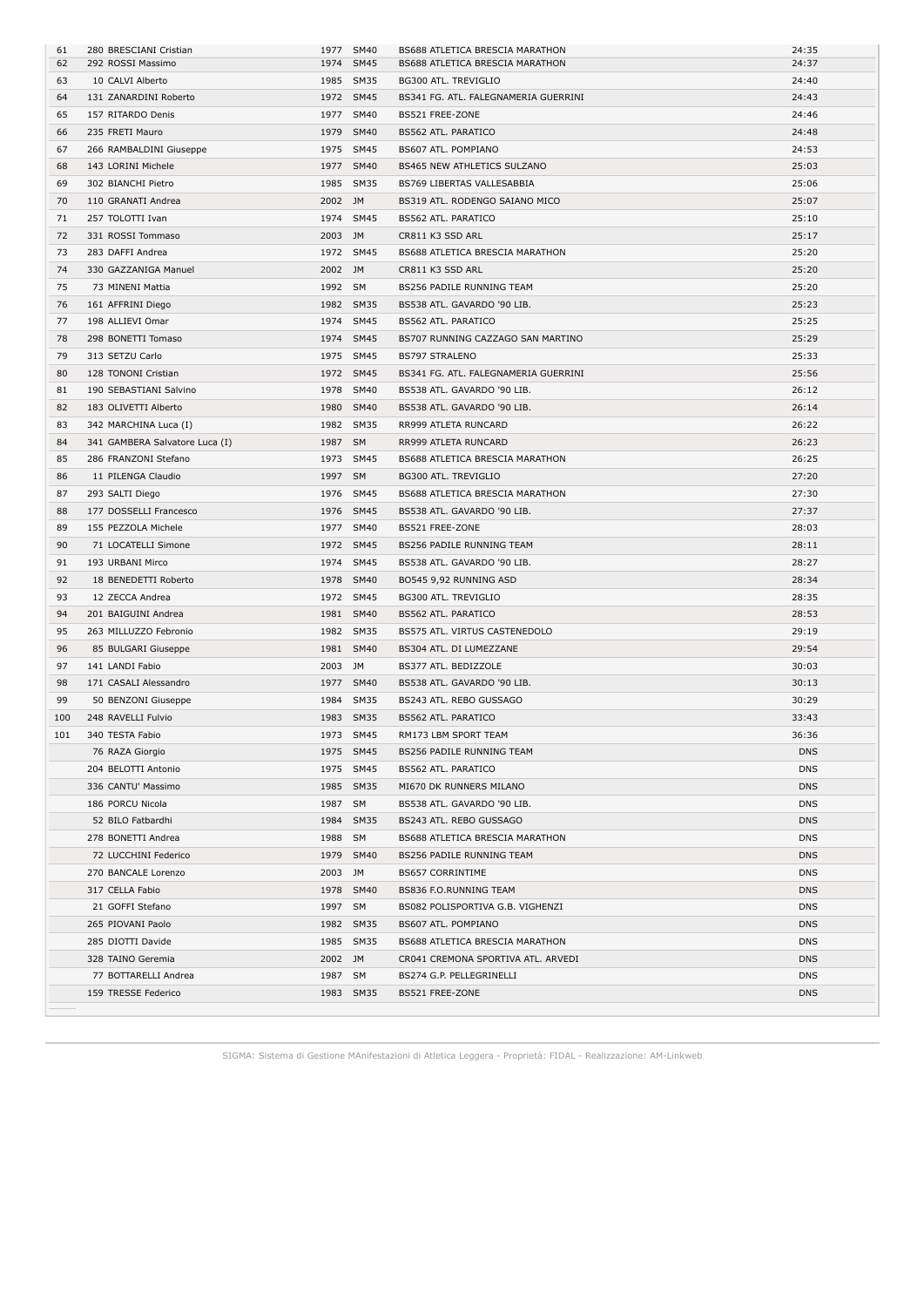| 61  | 280 BRESCIANI Cristian         |         | 1977 SM40 | BS688 ATLETICA BRESCIA MARATHON      | 24:35      |
|-----|--------------------------------|---------|-----------|--------------------------------------|------------|
| 62  | 292 ROSSI Massimo              |         | 1974 SM45 | BS688 ATLETICA BRESCIA MARATHON      | 24:37      |
| 63  | 10 CALVI Alberto               |         | 1985 SM35 | BG300 ATL. TREVIGLIO                 | 24:40      |
| 64  | 131 ZANARDINI Roberto          |         | 1972 SM45 | BS341 FG. ATL. FALEGNAMERIA GUERRINI | 24:43      |
| 65  | 157 RITARDO Denis              |         | 1977 SM40 | BS521 FREE-ZONE                      | 24:46      |
| 66  | 235 FRETI Mauro                |         | 1979 SM40 | BS562 ATL. PARATICO                  | 24:48      |
| 67  | 266 RAMBALDINI Giuseppe        |         | 1975 SM45 | BS607 ATL. POMPIANO                  | 24:53      |
| 68  | 143 LORINI Michele             |         | 1977 SM40 | BS465 NEW ATHLETICS SULZANO          | 25:03      |
| 69  | 302 BIANCHI Pietro             |         | 1985 SM35 | BS769 LIBERTAS VALLESABBIA           | 25:06      |
| 70  | 110 GRANATI Andrea             | 2002 JM |           | BS319 ATL. RODENGO SAIANO MICO       | 25:07      |
| 71  | 257 TOLOTTI Ivan               |         | 1974 SM45 | BS562 ATL. PARATICO                  | 25:10      |
| 72  | 331 ROSSI Tommaso              | 2003 JM |           | CR811 K3 SSD ARL                     | 25:17      |
| 73  | 283 DAFFI Andrea               |         | 1972 SM45 | BS688 ATLETICA BRESCIA MARATHON      | 25:20      |
| 74  | 330 GAZZANIGA Manuel           | 2002 JM |           | CR811 K3 SSD ARL                     | 25:20      |
| 75  | 73 MINENI Mattia               | 1992 SM |           | BS256 PADILE RUNNING TEAM            | 25:20      |
| 76  | 161 AFFRINI Diego              |         | 1982 SM35 | BS538 ATL. GAVARDO '90 LIB.          | 25:23      |
| 77  | 198 ALLIEVI Omar               |         | 1974 SM45 | BS562 ATL. PARATICO                  | 25:25      |
| 78  | 298 BONETTI Tomaso             |         | 1974 SM45 | BS707 RUNNING CAZZAGO SAN MARTINO    | 25:29      |
| 79  | 313 SETZU Carlo                |         | 1975 SM45 | <b>BS797 STRALENO</b>                | 25:33      |
| 80  | 128 TONONI Cristian            |         | 1972 SM45 | BS341 FG. ATL. FALEGNAMERIA GUERRINI | 25:56      |
| 81  | 190 SEBASTIANI Salvino         |         | 1978 SM40 | BS538 ATL. GAVARDO '90 LIB.          | 26:12      |
| 82  | 183 OLIVETTI Alberto           |         | 1980 SM40 | BS538 ATL. GAVARDO '90 LIB.          | 26:14      |
| 83  | 342 MARCHINA Luca (I)          |         | 1982 SM35 | RR999 ATLETA RUNCARD                 | 26:22      |
| 84  | 341 GAMBERA Salvatore Luca (I) | 1987 SM |           | RR999 ATLETA RUNCARD                 | 26:23      |
| 85  | 286 FRANZONI Stefano           |         | 1973 SM45 | BS688 ATLETICA BRESCIA MARATHON      | 26:25      |
| 86  | 11 PILENGA Claudio             | 1997 SM |           | BG300 ATL. TREVIGLIO                 | 27:20      |
| 87  | 293 SALTI Diego                |         | 1976 SM45 | BS688 ATLETICA BRESCIA MARATHON      | 27:30      |
|     |                                |         |           |                                      | 27:37      |
| 88  | 177 DOSSELLI Francesco         |         | 1976 SM45 | BS538 ATL. GAVARDO '90 LIB.          | 28:03      |
| 89  | 155 PEZZOLA Michele            |         | 1977 SM40 | BS521 FREE-ZONE                      |            |
| 90  | 71 LOCATELLI Simone            |         | 1972 SM45 | BS256 PADILE RUNNING TEAM            | 28:11      |
| 91  | 193 URBANI Mirco               |         | 1974 SM45 | BS538 ATL. GAVARDO '90 LIB.          | 28:27      |
| 92  | 18 BENEDETTI Roberto           |         | 1978 SM40 | BO545 9,92 RUNNING ASD               | 28:34      |
| 93  | 12 ZECCA Andrea                |         | 1972 SM45 | BG300 ATL. TREVIGLIO                 | 28:35      |
| 94  | 201 BAIGUINI Andrea            |         | 1981 SM40 | BS562 ATL. PARATICO                  | 28:53      |
| 95  | 263 MILLUZZO Febronio          |         | 1982 SM35 | BS575 ATL. VIRTUS CASTENEDOLO        | 29:19      |
| 96  | 85 BULGARI Giuseppe            |         | 1981 SM40 | BS304 ATL. DI LUMEZZANE              | 29:54      |
| 97  | 141 LANDI Fabio                | 2003 JM |           | BS377 ATL. BEDIZZOLE                 | 30:03      |
| 98  | 171 CASALI Alessandro          |         | 1977 SM40 | BS538 ATL. GAVARDO '90 LIB.          | 30:13      |
| 99  | 50 BENZONI Giuseppe            |         | 1984 SM35 | BS243 ATL. REBO GUSSAGO              | 30:29      |
| 100 | 248 RAVELLI Fulvio             |         | 1983 SM35 | <b>BS562 ATL. PARATICO</b>           | 33:43      |
| 101 | 340 TESTA Fabio                |         | 1973 SM45 | RM173 LBM SPORT TEAM                 | 36:36      |
|     | 76 RAZA Giorgio                |         | 1975 SM45 | BS256 PADILE RUNNING TEAM            | <b>DNS</b> |
|     | 204 BELOTTI Antonio            |         | 1975 SM45 | BS562 ATL. PARATICO                  | <b>DNS</b> |
|     | 336 CANTU' Massimo             |         | 1985 SM35 | MI670 DK RUNNERS MILANO              | <b>DNS</b> |
|     | 186 PORCU Nicola               | 1987 SM |           | BS538 ATL. GAVARDO '90 LIB.          | <b>DNS</b> |
|     | 52 BILO Fatbardhi              |         | 1984 SM35 | BS243 ATL. REBO GUSSAGO              | <b>DNS</b> |
|     | 278 BONETTI Andrea             | 1988 SM |           | BS688 ATLETICA BRESCIA MARATHON      | <b>DNS</b> |
|     | 72 LUCCHINI Federico           |         | 1979 SM40 | BS256 PADILE RUNNING TEAM            | <b>DNS</b> |
|     | 270 BANCALE Lorenzo            | 2003 JM |           | <b>BS657 CORRINTIME</b>              | <b>DNS</b> |
|     | 317 CELLA Fabio                |         | 1978 SM40 | BS836 F.O.RUNNING TEAM               | <b>DNS</b> |
|     | 21 GOFFI Stefano               | 1997 SM |           | BS082 POLISPORTIVA G.B. VIGHENZI     | <b>DNS</b> |
|     | 265 PIOVANI Paolo              |         | 1982 SM35 | BS607 ATL. POMPIANO                  | <b>DNS</b> |
|     | 285 DIOTTI Davide              |         | 1985 SM35 | BS688 ATLETICA BRESCIA MARATHON      | <b>DNS</b> |
|     | 328 TAINO Geremia              | 2002 JM |           | CR041 CREMONA SPORTIVA ATL. ARVEDI   | <b>DNS</b> |
|     | 77 BOTTARELLI Andrea           | 1987 SM |           | BS274 G.P. PELLEGRINELLI             | <b>DNS</b> |
|     | 159 TRESSE Federico            |         | 1983 SM35 | BS521 FREE-ZONE                      | <b>DNS</b> |
|     |                                |         |           |                                      |            |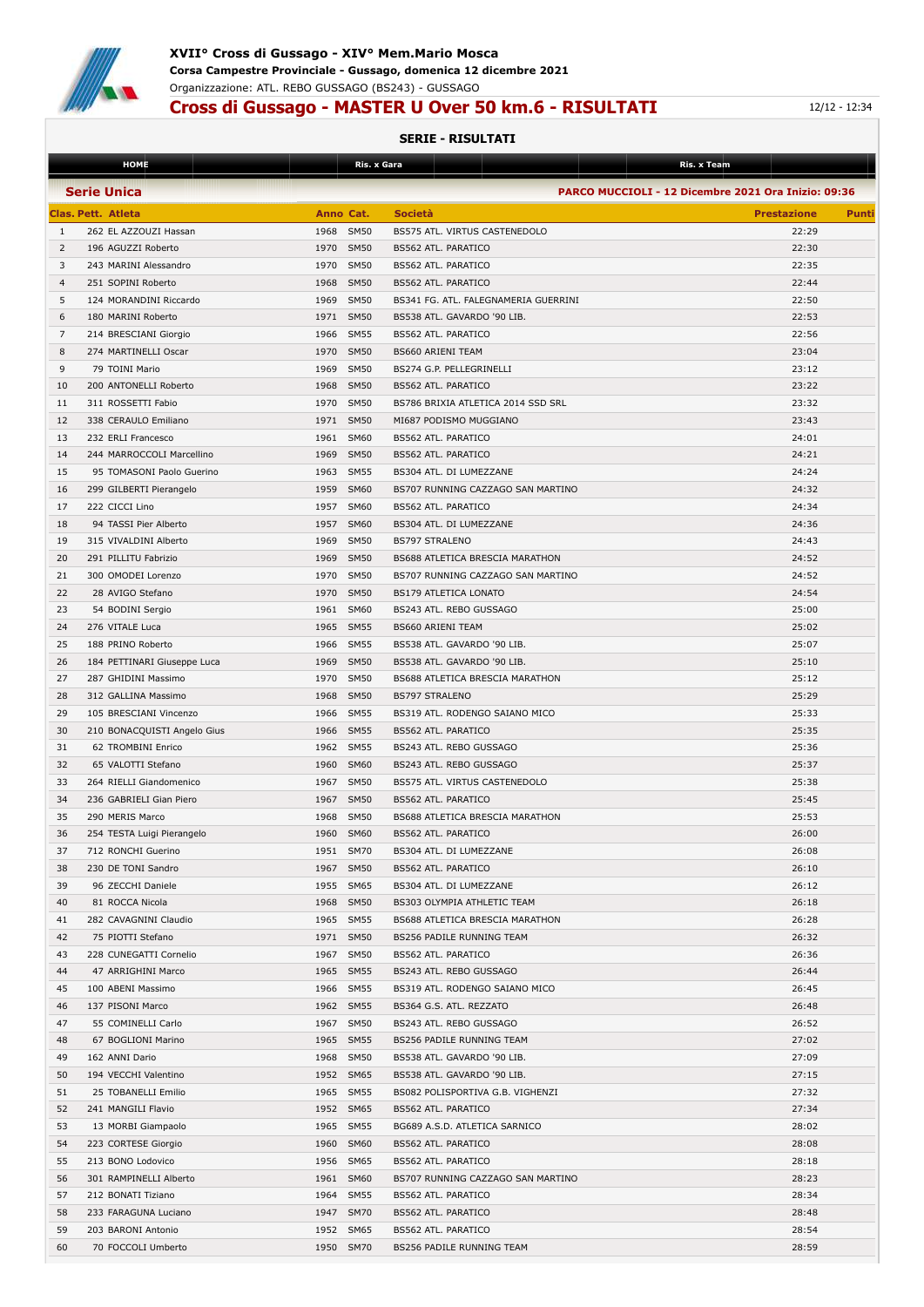

## **Cross di Gussago - MASTER U Over 50 km.6 - RISULTATI 12/12 - 12:34**

|                | <b>HOME</b>                 |                     | Ris. x Gara    | Ris. x Team                                         |                             |
|----------------|-----------------------------|---------------------|----------------|-----------------------------------------------------|-----------------------------|
|                | <b>Serie Unica</b>          |                     |                | PARCO MUCCIOLI - 12 Dicembre 2021 Ora Inizio: 09:36 |                             |
|                |                             |                     |                |                                                     |                             |
|                | Clas. Pett. Atleta          | Anno Cat.           | <b>Società</b> |                                                     | <b>Prestazione</b><br>Punti |
| 1              | 262 EL AZZOUZI Hassan       | <b>SM50</b><br>1968 |                | BS575 ATL. VIRTUS CASTENEDOLO                       | 22:29                       |
| 2              | 196 AGUZZI Roberto          | 1970 SM50           |                | <b>BS562 ATL. PARATICO</b>                          | 22:30                       |
| 3              | 243 MARINI Alessandro       | 1970 SM50           |                | BS562 ATL. PARATICO                                 | 22:35                       |
| $\overline{4}$ | 251 SOPINI Roberto          | 1968 SM50           |                | BS562 ATL. PARATICO                                 | 22:44                       |
| 5              | 124 MORANDINI Riccardo      | 1969 SM50           |                | BS341 FG. ATL. FALEGNAMERIA GUERRINI                | 22:50                       |
| 6              | 180 MARINI Roberto          | 1971 SM50           |                | BS538 ATL. GAVARDO '90 LIB.                         | 22:53                       |
| 7              | 214 BRESCIANI Giorgio       | 1966 SM55           |                | BS562 ATL. PARATICO                                 | 22:56                       |
| 8              | 274 MARTINELLI Oscar        | 1970 SM50           |                | BS660 ARIENI TEAM                                   | 23:04                       |
| 9              | 79 TOINI Mario              | 1969 SM50           |                | BS274 G.P. PELLEGRINELLI                            | 23:12                       |
| 10             | 200 ANTONELLI Roberto       | 1968 SM50           |                | <b>BS562 ATL. PARATICO</b>                          | 23:22                       |
|                |                             |                     |                |                                                     |                             |
| 11             | 311 ROSSETTI Fabio          | 1970 SM50           |                | BS786 BRIXIA ATLETICA 2014 SSD SRL                  | 23:32                       |
| 12             | 338 CERAULO Emiliano        | 1971 SM50           |                | MI687 PODISMO MUGGIANO                              | 23:43                       |
| 13             | 232 ERLI Francesco          | 1961 SM60           |                | BS562 ATL. PARATICO                                 | 24:01                       |
| 14             | 244 MARROCCOLI Marcellino   | 1969 SM50           |                | BS562 ATL. PARATICO                                 | 24:21                       |
| 15             | 95 TOMASONI Paolo Guerino   | 1963 SM55           |                | BS304 ATL. DI LUMEZZANE                             | 24:24                       |
| 16             | 299 GILBERTI Pierangelo     | 1959 SM60           |                | BS707 RUNNING CAZZAGO SAN MARTINO                   | 24:32                       |
| 17             | 222 CICCI Lino              | 1957 SM60           |                | BS562 ATL. PARATICO                                 | 24:34                       |
| 18             | 94 TASSI Pier Alberto       | 1957 SM60           |                | BS304 ATL. DI LUMEZZANE                             | 24:36                       |
| 19             | 315 VIVALDINI Alberto       | 1969<br><b>SM50</b> |                | <b>BS797 STRALENO</b>                               | 24:43                       |
| 20             | 291 PILLITU Fabrizio        | 1969 SM50           |                | BS688 ATLETICA BRESCIA MARATHON                     | 24:52                       |
| 21             | 300 OMODEI Lorenzo          | 1970 SM50           |                | BS707 RUNNING CAZZAGO SAN MARTINO                   | 24:52                       |
| 22             | 28 AVIGO Stefano            | 1970 SM50           |                | BS179 ATLETICA LONATO                               | 24:54                       |
| 23             | 54 BODINI Sergio            | 1961 SM60           |                | BS243 ATL. REBO GUSSAGO                             | 25:00                       |
| 24             | 276 VITALE Luca             | 1965 SM55           |                |                                                     | 25:02                       |
|                |                             |                     |                | <b>BS660 ARIENI TEAM</b>                            |                             |
| 25             | 188 PRINO Roberto           | 1966 SM55           |                | BS538 ATL. GAVARDO '90 LIB.                         | 25:07                       |
| 26             | 184 PETTINARI Giuseppe Luca | 1969 SM50           |                | BS538 ATL. GAVARDO '90 LIB.                         | 25:10                       |
| 27             | 287 GHIDINI Massimo         | 1970 SM50           |                | BS688 ATLETICA BRESCIA MARATHON                     | 25:12                       |
| 28             | 312 GALLINA Massimo         | 1968 SM50           |                | <b>BS797 STRALENO</b>                               | 25:29                       |
| 29             | 105 BRESCIANI Vincenzo      | 1966 SM55           |                | BS319 ATL. RODENGO SAIANO MICO                      | 25:33                       |
| 30             | 210 BONACQUISTI Angelo Gius | 1966 SM55           |                | BS562 ATL. PARATICO                                 | 25:35                       |
| 31             | 62 TROMBINI Enrico          | 1962 SM55           |                | BS243 ATL. REBO GUSSAGO                             | 25:36                       |
| 32             | 65 VALOTTI Stefano          | 1960<br><b>SM60</b> |                | BS243 ATL. REBO GUSSAGO                             | 25:37                       |
| 33             | 264 RIELLI Giandomenico     | 1967 SM50           |                | BS575 ATL. VIRTUS CASTENEDOLO                       | 25:38                       |
| 34             | 236 GABRIELI Gian Piero     | 1967 SM50           |                | BS562 ATL. PARATICO                                 | 25:45                       |
| 35             | 290 MERIS Marco             | 1968 SM50           |                | BS688 ATLETICA BRESCIA MARATHON                     | 25:53                       |
| 36             | 254 TESTA Luigi Pierangelo  | 1960 SM60           |                | BS562 ATL. PARATICO                                 | 26:00                       |
| 37             | 712 RONCHI Guerino          | 1951 SM70           |                | BS304 ATL. DI LUMEZZANE                             | 26:08                       |
| 38             | 230 DE TONI Sandro          | 1967 SM50           |                |                                                     | 26:10                       |
|                |                             |                     |                | BS562 ATL. PARATICO                                 |                             |
| 39             | 96 ZECCHI Daniele           | 1955 SM65           |                | BS304 ATL. DI LUMEZZANE                             | 26:12                       |
| 40             | 81 ROCCA Nicola             | 1968 SM50           |                | BS303 OLYMPIA ATHLETIC TEAM                         | 26:18                       |
| 41             | 282 CAVAGNINI Claudio       | 1965 SM55           |                | BS688 ATLETICA BRESCIA MARATHON                     | 26:28                       |
| 42             | 75 PIOTTI Stefano           | 1971 SM50           |                | BS256 PADILE RUNNING TEAM                           | 26:32                       |
| 43             | 228 CUNEGATTI Cornelio      | 1967 SM50           |                | BS562 ATL. PARATICO                                 | 26:36                       |
| 44             | 47 ARRIGHINI Marco          | 1965 SM55           |                | BS243 ATL. REBO GUSSAGO                             | 26:44                       |
| 45             | 100 ABENI Massimo           | 1966 SM55           |                | BS319 ATL. RODENGO SAIANO MICO                      | 26:45                       |
| 46             | 137 PISONI Marco            | 1962 SM55           |                | BS364 G.S. ATL. REZZATO                             | 26:48                       |
| 47             | 55 COMINELLI Carlo          | 1967 SM50           |                | BS243 ATL. REBO GUSSAGO                             | 26:52                       |
| 48             | 67 BOGLIONI Marino          | 1965 SM55           |                | BS256 PADILE RUNNING TEAM                           | 27:02                       |
| 49             | 162 ANNI Dario              | 1968 SM50           |                | BS538 ATL. GAVARDO '90 LIB.                         | 27:09                       |
| 50             | 194 VECCHI Valentino        | 1952 SM65           |                | BS538 ATL. GAVARDO '90 LIB.                         | 27:15                       |
| 51             | 25 TOBANELLI Emilio         | 1965 SM55           |                | BS082 POLISPORTIVA G.B. VIGHENZI                    | 27:32                       |
| 52             | 241 MANGILI Flavio          | 1952 SM65           |                | BS562 ATL. PARATICO                                 | 27:34                       |
|                |                             |                     |                |                                                     |                             |
| 53             | 13 MORBI Giampaolo          | 1965 SM55           |                | BG689 A.S.D. ATLETICA SARNICO                       | 28:02                       |
| 54             | 223 CORTESE Giorgio         | 1960 SM60           |                | BS562 ATL. PARATICO                                 | 28:08                       |
| 55             | 213 BONO Lodovico           | 1956 SM65           |                | BS562 ATL. PARATICO                                 | 28:18                       |
| 56             | 301 RAMPINELLI Alberto      | 1961 SM60           |                | BS707 RUNNING CAZZAGO SAN MARTINO                   | 28:23                       |
| 57             | 212 BONATI Tiziano          | 1964 SM55           |                | BS562 ATL. PARATICO                                 | 28:34                       |
| 58             | 233 FARAGUNA Luciano        | 1947 SM70           |                | BS562 ATL. PARATICO                                 | 28:48                       |
| 59             | 203 BARONI Antonio          | 1952 SM65           |                | BS562 ATL. PARATICO                                 | 28:54                       |
| 60             | 70 FOCCOLI Umberto          | 1950 SM70           |                | BS256 PADILE RUNNING TEAM                           | 28:59                       |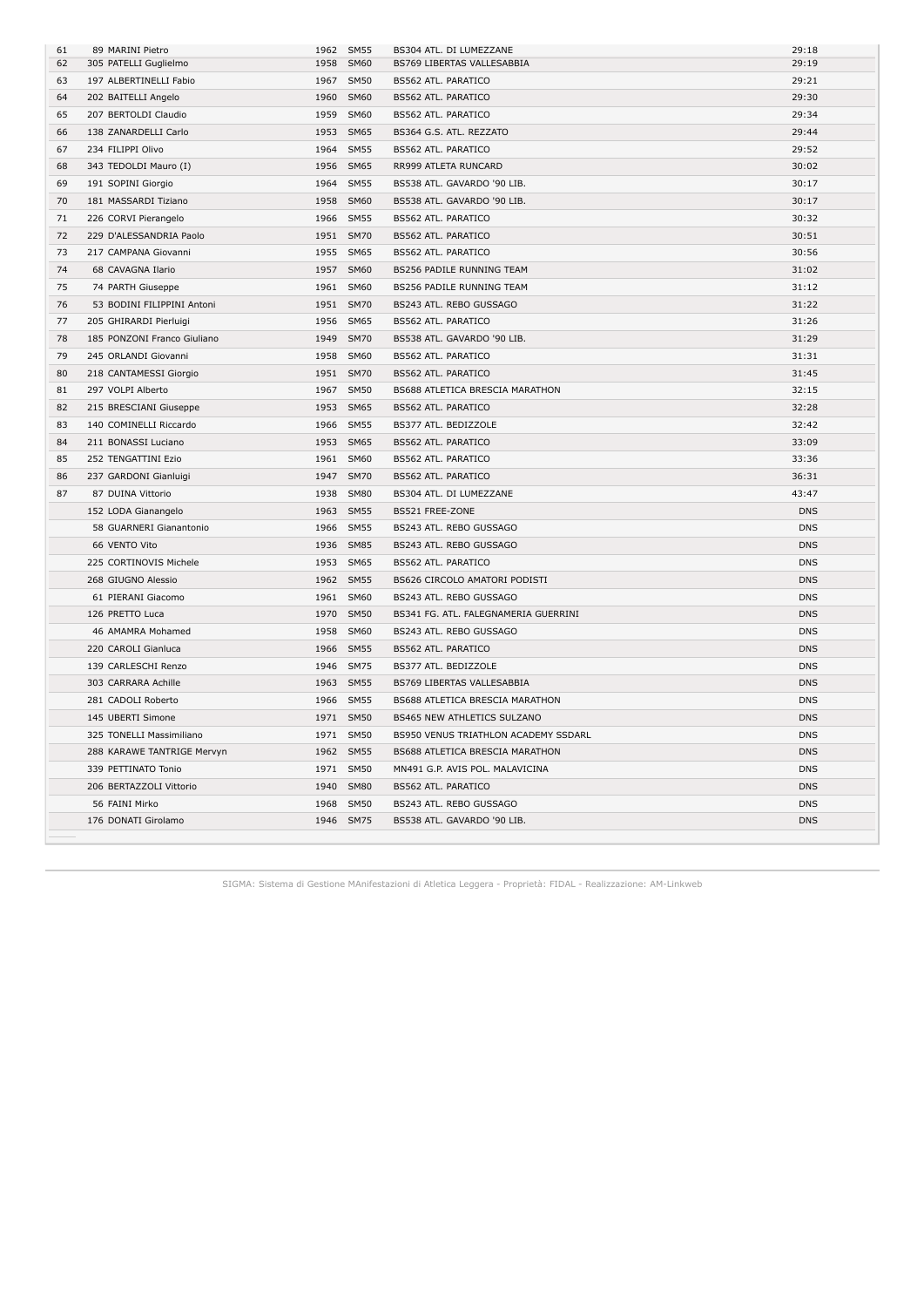| 61 | 89 MARINI Pietro            | 1962 | <b>SM55</b> | BS304 ATL. DI LUMEZZANE              | 29:18      |
|----|-----------------------------|------|-------------|--------------------------------------|------------|
| 62 | 305 PATELLI Guglielmo       | 1958 | SM60        | BS769 LIBERTAS VALLESABBIA           | 29:19      |
| 63 | 197 ALBERTINELLI Fabio      | 1967 | <b>SM50</b> | BS562 ATL. PARATICO                  | 29:21      |
| 64 | 202 BAITELLI Angelo         | 1960 | <b>SM60</b> | BS562 ATL. PARATICO                  | 29:30      |
| 65 | 207 BERTOLDI Claudio        | 1959 | <b>SM60</b> | BS562 ATL. PARATICO                  | 29:34      |
| 66 | 138 ZANARDELLI Carlo        | 1953 | <b>SM65</b> | BS364 G.S. ATL. REZZATO              | 29:44      |
| 67 | 234 FILIPPI Olivo           |      | 1964 SM55   | BS562 ATL. PARATICO                  | 29:52      |
| 68 | 343 TEDOLDI Mauro (I)       | 1956 | <b>SM65</b> | RR999 ATLETA RUNCARD                 | 30:02      |
| 69 | 191 SOPINI Giorgio          | 1964 | <b>SM55</b> | BS538 ATL. GAVARDO '90 LIB.          | 30:17      |
| 70 | 181 MASSARDI Tiziano        | 1958 | SM60        | BS538 ATL. GAVARDO '90 LIB.          | 30:17      |
| 71 | 226 CORVI Pierangelo        | 1966 | <b>SM55</b> | BS562 ATL. PARATICO                  | 30:32      |
| 72 | 229 D'ALESSANDRIA Paolo     |      | 1951 SM70   | BS562 ATL. PARATICO                  | 30:51      |
| 73 | 217 CAMPANA Giovanni        |      | 1955 SM65   | BS562 ATL. PARATICO                  | 30:56      |
| 74 | 68 CAVAGNA Ilario           |      | 1957 SM60   | BS256 PADILE RUNNING TEAM            | 31:02      |
| 75 | 74 PARTH Giuseppe           |      | 1961 SM60   | BS256 PADILE RUNNING TEAM            | 31:12      |
| 76 | 53 BODINI FILIPPINI Antoni  |      | 1951 SM70   | BS243 ATL. REBO GUSSAGO              | 31:22      |
| 77 | 205 GHIRARDI Pierluigi      |      | 1956 SM65   | BS562 ATL. PARATICO                  | 31:26      |
| 78 | 185 PONZONI Franco Giuliano | 1949 | <b>SM70</b> | BS538 ATL. GAVARDO '90 LIB.          | 31:29      |
| 79 | 245 ORLANDI Giovanni        | 1958 | <b>SM60</b> | BS562 ATL. PARATICO                  | 31:31      |
| 80 | 218 CANTAMESSI Giorgio      |      | 1951 SM70   | BS562 ATL. PARATICO                  | 31:45      |
| 81 | 297 VOLPI Alberto           |      | 1967 SM50   | BS688 ATLETICA BRESCIA MARATHON      | 32:15      |
| 82 | 215 BRESCIANI Giuseppe      |      | 1953 SM65   | BS562 ATL. PARATICO                  | 32:28      |
| 83 | 140 COMINELLI Riccardo      | 1966 | <b>SM55</b> | BS377 ATL. BEDIZZOLE                 | 32:42      |
| 84 | 211 BONASSI Luciano         |      | 1953 SM65   | BS562 ATL. PARATICO                  | 33:09      |
| 85 | 252 TENGATTINI Ezio         |      | 1961 SM60   | BS562 ATL. PARATICO                  | 33:36      |
| 86 | 237 GARDONI Gianluigi       |      | 1947 SM70   | BS562 ATL. PARATICO                  | 36:31      |
| 87 | 87 DUINA Vittorio           | 1938 | <b>SM80</b> | BS304 ATL. DI LUMEZZANE              | 43:47      |
|    | 152 LODA Gianangelo         |      | 1963 SM55   | BS521 FREE-ZONE                      | <b>DNS</b> |
|    | 58 GUARNERI Gianantonio     | 1966 | <b>SM55</b> | BS243 ATL. REBO GUSSAGO              | <b>DNS</b> |
|    | 66 VENTO Vito               |      | 1936 SM85   | BS243 ATL. REBO GUSSAGO              | <b>DNS</b> |
|    | 225 CORTINOVIS Michele      |      | 1953 SM65   | BS562 ATL. PARATICO                  | <b>DNS</b> |
|    | 268 GIUGNO Alessio          |      | 1962 SM55   | BS626 CIRCOLO AMATORI PODISTI        | <b>DNS</b> |
|    | 61 PIERANI Giacomo          |      | 1961 SM60   | BS243 ATL. REBO GUSSAGO              | <b>DNS</b> |
|    | 126 PRETTO Luca             | 1970 | <b>SM50</b> | BS341 FG. ATL. FALEGNAMERIA GUERRINI | <b>DNS</b> |
|    | 46 AMAMRA Mohamed           | 1958 | <b>SM60</b> | BS243 ATL. REBO GUSSAGO              | <b>DNS</b> |
|    | 220 CAROLI Gianluca         | 1966 | <b>SM55</b> | <b>BS562 ATL. PARATICO</b>           | <b>DNS</b> |
|    | 139 CARLESCHI Renzo         |      | 1946 SM75   | BS377 ATL. BEDIZZOLE                 | <b>DNS</b> |
|    | 303 CARRARA Achille         |      | 1963 SM55   | BS769 LIBERTAS VALLESABBIA           | <b>DNS</b> |
|    | 281 CADOLI Roberto          | 1966 | <b>SM55</b> | BS688 ATLETICA BRESCIA MARATHON      | <b>DNS</b> |
|    | 145 UBERTI Simone           |      | 1971 SM50   | <b>BS465 NEW ATHLETICS SULZANO</b>   | <b>DNS</b> |
|    | 325 TONELLI Massimiliano    |      | 1971 SM50   | BS950 VENUS TRIATHLON ACADEMY SSDARL | <b>DNS</b> |
|    | 288 KARAWE TANTRIGE Mervyn  |      | 1962 SM55   | BS688 ATLETICA BRESCIA MARATHON      | <b>DNS</b> |
|    | 339 PETTINATO Tonio         |      | 1971 SM50   | MN491 G.P. AVIS POL. MALAVICINA      | <b>DNS</b> |
|    | 206 BERTAZZOLI Vittorio     | 1940 | <b>SM80</b> | BS562 ATL. PARATICO                  | <b>DNS</b> |
|    | 56 FAINI Mirko              | 1968 | <b>SM50</b> | BS243 ATL. REBO GUSSAGO              | <b>DNS</b> |
|    | 176 DONATI Girolamo         |      | 1946 SM75   | BS538 ATL. GAVARDO '90 LIB.          | <b>DNS</b> |
|    |                             |      |             |                                      |            |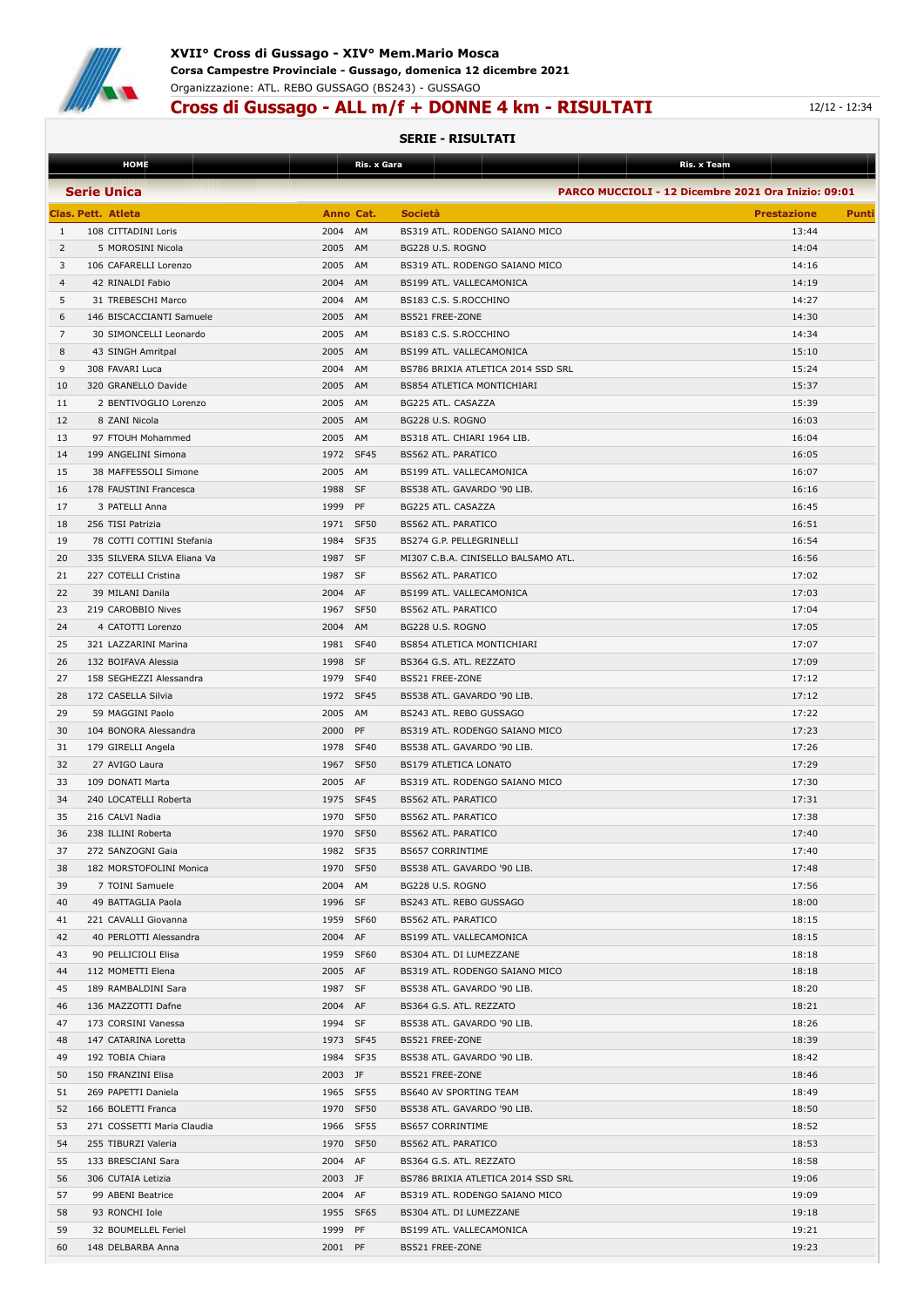

## **Cross di Gussago - ALL m/f + DONNE 4 km - RISULTATI** 12/12 - 12:34

|          | <b>HOME</b>                                    |                      | Ris. x Gara |                                                 | Ris. x Team                                         |
|----------|------------------------------------------------|----------------------|-------------|-------------------------------------------------|-----------------------------------------------------|
|          | <b>Serie Unica</b>                             |                      |             |                                                 | PARCO MUCCIOLI - 12 Dicembre 2021 Ora Inizio: 09:01 |
|          | <b>Clas. Pett. Atleta</b>                      | Anno Cat.            |             | <b>Società</b>                                  | <b>Prestazione</b><br>Punti                         |
| 1        | 108 CITTADINI Loris                            | 2004                 | AM          | BS319 ATL. RODENGO SAIANO MICO                  | 13:44                                               |
| 2        | 5 MOROSINI Nicola                              | 2005                 | AM          | BG228 U.S. ROGNO                                | 14:04                                               |
| 3        | 106 CAFARELLI Lorenzo                          | 2005                 | AM          | BS319 ATL. RODENGO SAIANO MICO                  | 14:16                                               |
| 4        | 42 RINALDI Fabio                               | 2004                 | AM          | BS199 ATL. VALLECAMONICA                        | 14:19                                               |
| 5        | 31 TREBESCHI Marco                             | 2004                 | AM          | BS183 C.S. S.ROCCHINO                           | 14:27                                               |
| 6        | 146 BISCACCIANTI Samuele                       | 2005                 | AM          | BS521 FREE-ZONE                                 | 14:30                                               |
| 7        | 30 SIMONCELLI Leonardo                         | 2005                 | AM          | BS183 C.S. S.ROCCHINO                           | 14:34                                               |
| 8        | 43 SINGH Amritpal                              | 2005                 | AM          | BS199 ATL. VALLECAMONICA                        | 15:10                                               |
| 9        | 308 FAVARI Luca                                | 2004                 | AM          | BS786 BRIXIA ATLETICA 2014 SSD SRL              | 15:24                                               |
| 10       | 320 GRANELLO Davide                            | 2005                 | AM          | <b>BS854 ATLETICA MONTICHIARI</b>               | 15:37                                               |
| 11<br>12 | 2 BENTIVOGLIO Lorenzo<br>8 ZANI Nicola         | 2005<br>2005         | AM<br>AM    | BG225 ATL. CASAZZA<br>BG228 U.S. ROGNO          | 15:39<br>16:03                                      |
| 13       | 97 FTOUH Mohammed                              | 2005 AM              |             | BS318 ATL. CHIARI 1964 LIB.                     | 16:04                                               |
| 14       | 199 ANGELINI Simona                            | 1972                 | SF45        | BS562 ATL. PARATICO                             | 16:05                                               |
| 15       | 38 MAFFESSOLI Simone                           | 2005                 | AM          | BS199 ATL. VALLECAMONICA                        | 16:07                                               |
| 16       | 178 FAUSTINI Francesca                         | 1988                 | SF          | BS538 ATL. GAVARDO '90 LIB.                     | 16:16                                               |
| 17       | 3 PATELLI Anna                                 | 1999                 | PF          | BG225 ATL. CASAZZA                              | 16:45                                               |
| 18       | 256 TISI Patrizia                              | 1971 SF50            |             | BS562 ATL. PARATICO                             | 16:51                                               |
| 19       | 78 COTTI COTTINI Stefania                      | 1984                 | SF35        | BS274 G.P. PELLEGRINELLI                        | 16:54                                               |
| 20       | 335 SILVERA SILVA Eliana Va                    | 1987 SF              |             | MI307 C.B.A. CINISELLO BALSAMO ATL.             | 16:56                                               |
| 21       | 227 COTELLI Cristina                           | 1987                 | SF          | BS562 ATL. PARATICO                             | 17:02                                               |
| 22       | 39 MILANI Danila                               | 2004                 | AF          | BS199 ATL. VALLECAMONICA                        | 17:03                                               |
| 23       | 219 CAROBBIO Nives                             | 1967                 | <b>SF50</b> | BS562 ATL. PARATICO                             | 17:04                                               |
| 24       | 4 CATOTTI Lorenzo                              | 2004                 | AM          | BG228 U.S. ROGNO                                | 17:05                                               |
| 25       | 321 LAZZARINI Marina                           | 1981                 | SF40        | BS854 ATLETICA MONTICHIARI                      | 17:07                                               |
| 26       | 132 BOIFAVA Alessia                            | 1998                 | SF          | BS364 G.S. ATL. REZZATO                         | 17:09                                               |
| 27       | 158 SEGHEZZI Alessandra                        | 1979                 | SF40        | BS521 FREE-ZONE                                 | 17:12                                               |
| 28       | 172 CASELLA Silvia                             | 1972                 | <b>SF45</b> | BS538 ATL. GAVARDO '90 LIB.                     | 17:12                                               |
| 29       | 59 MAGGINI Paolo                               | 2005                 | AM          | BS243 ATL. REBO GUSSAGO                         | 17:22                                               |
| 30       | 104 BONORA Alessandra                          | 2000                 | PF          | BS319 ATL. RODENGO SAIANO MICO                  | 17:23                                               |
| 31       | 179 GIRELLI Angela                             | 1978                 | <b>SF40</b> | BS538 ATL. GAVARDO '90 LIB.                     | 17:26                                               |
| 32       | 27 AVIGO Laura                                 | 1967                 | <b>SF50</b> | <b>BS179 ATLETICA LONATO</b>                    | 17:29                                               |
| 33       | 109 DONATI Marta                               | 2005                 | AF          | BS319 ATL. RODENGO SAIANO MICO                  | 17:30                                               |
| 34       | 240 LOCATELLI Roberta                          | 1975                 | SF45        | <b>BS562 ATL. PARATICO</b>                      | 17:31                                               |
| 35       | 216 CALVI Nadia                                | 1970                 | <b>SF50</b> | BS562 ATL. PARATICO                             | 17:38                                               |
| 36       | 238 ILLINI Roberta                             | 1970                 | SF50        | BS562 ATL. PARATICO                             | 17:40                                               |
| 37       | 272 SANZOGNI Gaia                              | 1982 SF35            |             | <b>BS657 CORRINTIME</b>                         | 17:40                                               |
| 38       | 182 MORSTOFOLINI Monica                        | 1970 SF50            |             | BS538 ATL. GAVARDO '90 LIB.                     | 17:48                                               |
| 39       | 7 TOINI Samuele                                | 2004 AM              |             | BG228 U.S. ROGNO                                | 17:56                                               |
| 40       | 49 BATTAGLIA Paola                             | 1996 SF              |             | BS243 ATL. REBO GUSSAGO                         | 18:00                                               |
| 41<br>42 | 221 CAVALLI Giovanna<br>40 PERLOTTI Alessandra | 1959 SF60<br>2004 AF |             | BS562 ATL. PARATICO<br>BS199 ATL. VALLECAMONICA | 18:15<br>18:15                                      |
| 43       | 90 PELLICIOLI Elisa                            | 1959 SF60            |             | BS304 ATL. DI LUMEZZANE                         | 18:18                                               |
| 44       | 112 MOMETTI Elena                              | 2005 AF              |             | BS319 ATL. RODENGO SAIANO MICO                  | 18:18                                               |
| 45       | 189 RAMBALDINI Sara                            | 1987 SF              |             | BS538 ATL. GAVARDO '90 LIB.                     | 18:20                                               |
| 46       | 136 MAZZOTTI Dafne                             | 2004 AF              |             | BS364 G.S. ATL. REZZATO                         | 18:21                                               |
| 47       | 173 CORSINI Vanessa                            | 1994 SF              |             | BS538 ATL. GAVARDO '90 LIB.                     | 18:26                                               |
| 48       | 147 CATARINA Loretta                           | 1973 SF45            |             | BS521 FREE-ZONE                                 | 18:39                                               |
| 49       | 192 TOBIA Chiara                               | 1984 SF35            |             | BS538 ATL. GAVARDO '90 LIB.                     | 18:42                                               |
| 50       | 150 FRANZINI Elisa                             | 2003 JF              |             | BS521 FREE-ZONE                                 | 18:46                                               |
| 51       | 269 PAPETTI Daniela                            | 1965 SF55            |             | BS640 AV SPORTING TEAM                          | 18:49                                               |
| 52       | 166 BOLETTI Franca                             | 1970 SF50            |             | BS538 ATL. GAVARDO '90 LIB.                     | 18:50                                               |
| 53       | 271 COSSETTI Maria Claudia                     | 1966 SF55            |             | BS657 CORRINTIME                                | 18:52                                               |
| 54       | 255 TIBURZI Valeria                            | 1970 SF50            |             | BS562 ATL. PARATICO                             | 18:53                                               |
| 55       | 133 BRESCIANI Sara                             | 2004 AF              |             | BS364 G.S. ATL. REZZATO                         | 18:58                                               |
| 56       | 306 CUTAIA Letizia                             | 2003 JF              |             | BS786 BRIXIA ATLETICA 2014 SSD SRL              | 19:06                                               |
| 57       | 99 ABENI Beatrice                              | 2004 AF              |             | BS319 ATL. RODENGO SAIANO MICO                  | 19:09                                               |
| 58       | 93 RONCHI Iole                                 | 1955 SF65            |             | BS304 ATL. DI LUMEZZANE                         | 19:18                                               |
| 59       | 32 BOUMELLEL Feriel                            | 1999 PF              |             | BS199 ATL. VALLECAMONICA                        | 19:21                                               |
| 60       | 148 DELBARBA Anna                              | 2001 PF              |             | BS521 FREE-ZONE                                 | 19:23                                               |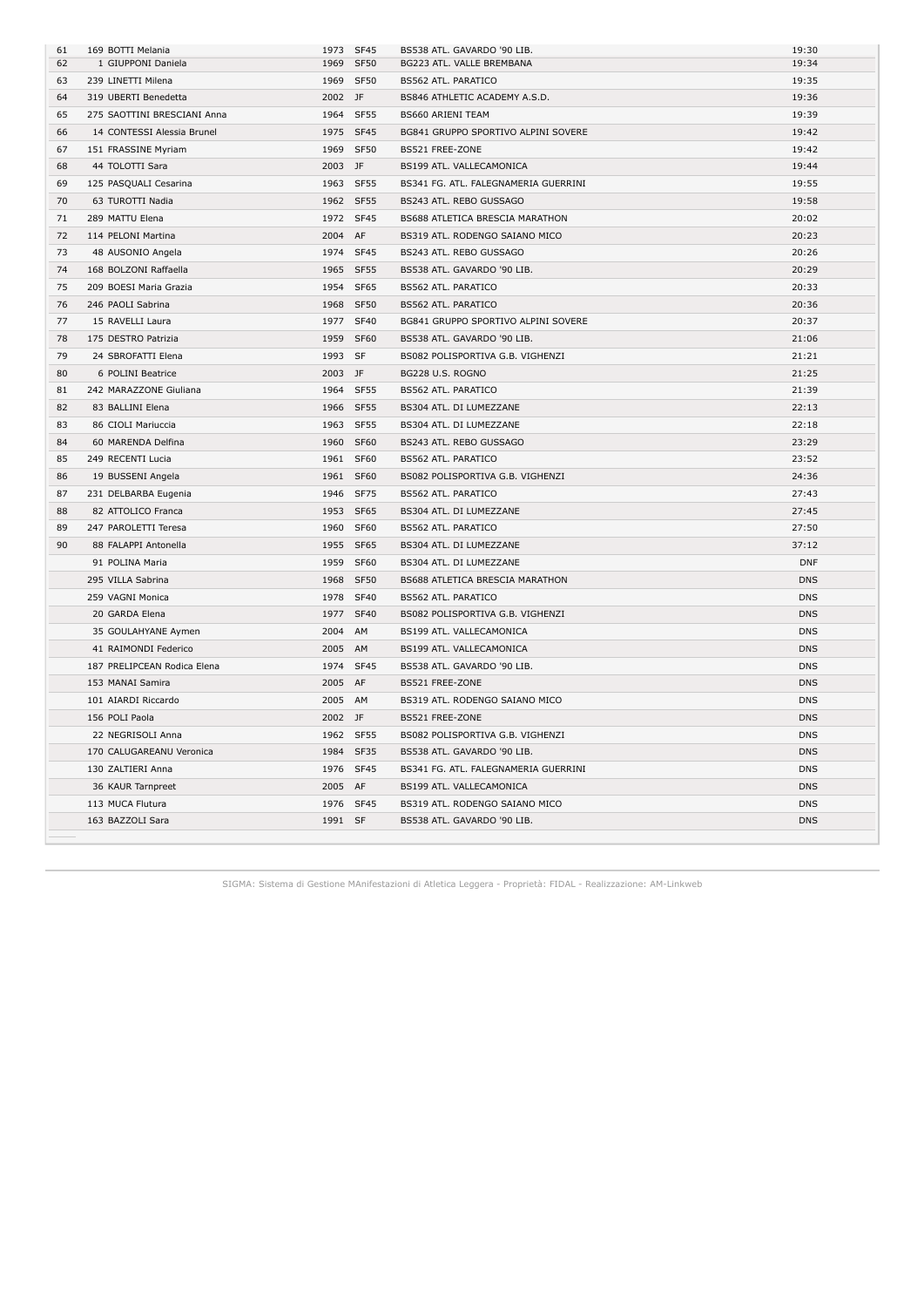| 61 | 169 BOTTI Melania           | 1973 SF45 |           | BS538 ATL. GAVARDO '90 LIB.          | 19:30      |
|----|-----------------------------|-----------|-----------|--------------------------------------|------------|
| 62 | 1 GIUPPONI Daniela          | 1969 SF50 |           | BG223 ATL. VALLE BREMBANA            | 19:34      |
| 63 | 239 LINETTI Milena          | 1969 SF50 |           | BS562 ATL. PARATICO                  | 19:35      |
| 64 | 319 UBERTI Benedetta        | 2002 JF   |           | BS846 ATHLETIC ACADEMY A.S.D.        | 19:36      |
| 65 | 275 SAOTTINI BRESCIANI Anna | 1964 SF55 |           | BS660 ARIENI TEAM                    | 19:39      |
| 66 | 14 CONTESSI Alessia Brunel  | 1975 SF45 |           | BG841 GRUPPO SPORTIVO ALPINI SOVERE  | 19:42      |
| 67 | 151 FRASSINE Myriam         | 1969 SF50 |           | BS521 FREE-ZONE                      | 19:42      |
| 68 | 44 TOLOTTI Sara             | 2003 JF   |           | BS199 ATL. VALLECAMONICA             | 19:44      |
| 69 | 125 PASQUALI Cesarina       | 1963 SF55 |           | BS341 FG. ATL. FALEGNAMERIA GUERRINI | 19:55      |
| 70 | 63 TUROTTI Nadia            | 1962 SF55 |           | BS243 ATL. REBO GUSSAGO              | 19:58      |
| 71 | 289 MATTU Elena             | 1972 SF45 |           | BS688 ATLETICA BRESCIA MARATHON      | 20:02      |
| 72 | 114 PELONI Martina          | 2004 AF   |           | BS319 ATL. RODENGO SAIANO MICO       | 20:23      |
| 73 | 48 AUSONIO Angela           | 1974 SF45 |           | BS243 ATL. REBO GUSSAGO              | 20:26      |
| 74 | 168 BOLZONI Raffaella       |           | 1965 SF55 | BS538 ATL. GAVARDO '90 LIB.          | 20:29      |
| 75 | 209 BOESI Maria Grazia      | 1954 SF65 |           | BS562 ATL. PARATICO                  | 20:33      |
| 76 | 246 PAOLI Sabrina           | 1968 SF50 |           | BS562 ATL. PARATICO                  | 20:36      |
| 77 | 15 RAVELLI Laura            | 1977 SF40 |           | BG841 GRUPPO SPORTIVO ALPINI SOVERE  | 20:37      |
| 78 | 175 DESTRO Patrizia         | 1959 SF60 |           | BS538 ATL. GAVARDO '90 LIB.          | 21:06      |
| 79 | 24 SBROFATTI Elena          | 1993 SF   |           | BS082 POLISPORTIVA G.B. VIGHENZI     | 21:21      |
| 80 | 6 POLINI Beatrice           | 2003 JF   |           | BG228 U.S. ROGNO                     | 21:25      |
| 81 | 242 MARAZZONE Giuliana      | 1964 SF55 |           | <b>BS562 ATL. PARATICO</b>           | 21:39      |
| 82 | 83 BALLINI Elena            | 1966 SF55 |           | BS304 ATL. DI LUMEZZANE              | 22:13      |
| 83 | 86 CIOLI Mariuccia          | 1963 SF55 |           | BS304 ATL. DI LUMEZZANE              | 22:18      |
| 84 | 60 MARENDA Delfina          | 1960 SF60 |           | BS243 ATL. REBO GUSSAGO              | 23:29      |
| 85 | 249 RECENTI Lucia           | 1961 SF60 |           | BS562 ATL. PARATICO                  | 23:52      |
| 86 | 19 BUSSENI Angela           | 1961 SF60 |           | BS082 POLISPORTIVA G.B. VIGHENZI     | 24:36      |
| 87 | 231 DELBARBA Eugenia        | 1946 SF75 |           | BS562 ATL. PARATICO                  | 27:43      |
| 88 | 82 ATTOLICO Franca          | 1953 SF65 |           | BS304 ATL. DI LUMEZZANE              | 27:45      |
| 89 | 247 PAROLETTI Teresa        | 1960 SF60 |           | BS562 ATL. PARATICO                  | 27:50      |
| 90 | 88 FALAPPI Antonella        | 1955 SF65 |           | BS304 ATL. DI LUMEZZANE              | 37:12      |
|    | 91 POLINA Maria             | 1959 SF60 |           | BS304 ATL. DI LUMEZZANE              | <b>DNF</b> |
|    | 295 VILLA Sabrina           | 1968 SF50 |           | BS688 ATLETICA BRESCIA MARATHON      | <b>DNS</b> |
|    | 259 VAGNI Monica            | 1978 SF40 |           | BS562 ATL. PARATICO                  | <b>DNS</b> |
|    | 20 GARDA Elena              | 1977 SF40 |           | BS082 POLISPORTIVA G.B. VIGHENZI     | <b>DNS</b> |
|    | 35 GOULAHYANE Aymen         | 2004 AM   |           | BS199 ATL. VALLECAMONICA             | <b>DNS</b> |
|    | 41 RAIMONDI Federico        | 2005 AM   |           | BS199 ATL. VALLECAMONICA             | <b>DNS</b> |
|    | 187 PRELIPCEAN Rodica Elena | 1974 SF45 |           | BS538 ATL. GAVARDO '90 LIB.          | <b>DNS</b> |
|    | 153 MANAI Samira            | 2005 AF   |           | BS521 FREE-ZONE                      | <b>DNS</b> |
|    | 101 AIARDI Riccardo         | 2005 AM   |           | BS319 ATL. RODENGO SAIANO MICO       | <b>DNS</b> |
|    | 156 POLI Paola              | 2002 JF   |           | BS521 FREE-ZONE                      | <b>DNS</b> |
|    | 22 NEGRISOLI Anna           | 1962 SF55 |           | BS082 POLISPORTIVA G.B. VIGHENZI     | <b>DNS</b> |
|    | 170 CALUGAREANU Veronica    | 1984 SF35 |           | BS538 ATL. GAVARDO '90 LIB.          | <b>DNS</b> |
|    | 130 ZALTIERI Anna           | 1976 SF45 |           | BS341 FG. ATL. FALEGNAMERIA GUERRINI | <b>DNS</b> |
|    | 36 KAUR Tarnpreet           | 2005 AF   |           | BS199 ATL. VALLECAMONICA             | <b>DNS</b> |
|    | 113 MUCA Flutura            |           | 1976 SF45 | BS319 ATL. RODENGO SAIANO MICO       | <b>DNS</b> |
|    | 163 BAZZOLI Sara            | 1991 SF   |           | BS538 ATL. GAVARDO '90 LIB.          | <b>DNS</b> |
|    |                             |           |           |                                      |            |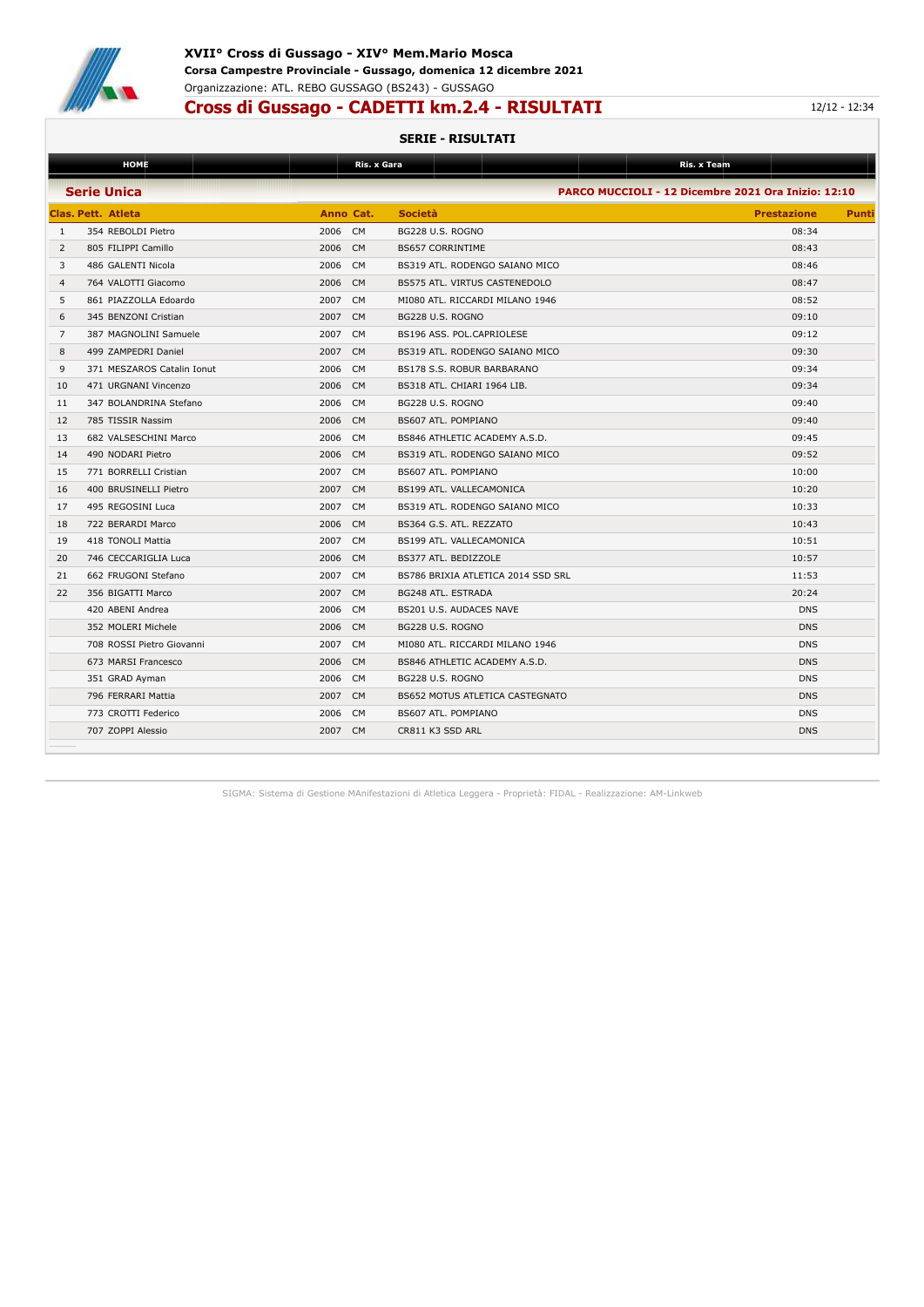

### **XVII° Cross di Gussago - XIV° Mem.Mario Mosca Corsa Campestre Provinciale - Gussago, domenica 12 dicembre 2021** Organizzazione: ATL. REBO GUSSAGO (BS243) - GUSSAGO

### **Cross di Gussago - CADETTI km.2.4 - RISULTATI** 12/12 - 12:34

#### **SERIE - RISULTATI**

|                | <b>HOME</b>                |         | Ris. x Gara    |                                    | Ris. x Team                                         |       |
|----------------|----------------------------|---------|----------------|------------------------------------|-----------------------------------------------------|-------|
|                | <b>Serie Unica</b>         |         |                |                                    | PARCO MUCCIOLI - 12 Dicembre 2021 Ora Inizio: 12:10 |       |
|                | <b>Clas. Pett. Atleta</b>  |         | Anno Cat.      | <b>Società</b>                     | <b>Prestazione</b>                                  | Punti |
| 1              | 354 REBOLDI Pietro         | 2006 CM |                | BG228 U.S. ROGNO                   | 08:34                                               |       |
| 2              | 805 FILIPPI Camillo        | 2006 CM |                | <b>BS657 CORRINTIME</b>            | 08:43                                               |       |
| 3              | 486 GALENTI Nicola         | 2006    | <b>CM</b>      | BS319 ATL. RODENGO SAIANO MICO     | 08:46                                               |       |
| $\overline{4}$ | 764 VALOTTI Giacomo        | 2006    | CM             | BS575 ATL. VIRTUS CASTENEDOLO      | 08:47                                               |       |
| 5              | 861 PIAZZOLLA Edoardo      | 2007 CM |                | MI080 ATL. RICCARDI MILANO 1946    | 08:52                                               |       |
| 6              | 345 BENZONI Cristian       | 2007 CM |                | BG228 U.S. ROGNO                   | 09:10                                               |       |
| $\overline{7}$ | 387 MAGNOLINI Samuele      | 2007    | <b>CM</b>      | BS196 ASS. POL.CAPRIOLESE          | 09:12                                               |       |
| 8              | 499 ZAMPEDRI Daniel        | 2007    | <b>CM</b>      | BS319 ATL. RODENGO SAIANO MICO     | 09:30                                               |       |
| 9              | 371 MESZAROS Catalin Ionut | 2006    | <b>CM</b>      | BS178 S.S. ROBUR BARBARANO         | 09:34                                               |       |
| 10             | 471 URGNANI Vincenzo       | 2006 CM |                | BS318 ATL. CHIARI 1964 LIB.        | 09:34                                               |       |
| 11             | 347 BOLANDRINA Stefano     | 2006 CM |                | BG228 U.S. ROGNO                   | 09:40                                               |       |
| 12             | 785 TISSIR Nassim          | 2006 CM |                | BS607 ATL. POMPIANO                | 09:40                                               |       |
| 13             | 682 VALSESCHINI Marco      | 2006 CM |                | BS846 ATHLETIC ACADEMY A.S.D.      | 09:45                                               |       |
| 14             | 490 NODARI Pietro          | 2006    | <b>CM</b>      | BS319 ATL. RODENGO SAIANO MICO     | 09:52                                               |       |
| 15             | 771 BORRELLI Cristian      | 2007    | <b>CM</b>      | BS607 ATL. POMPIANO                | 10:00                                               |       |
| 16             | 400 BRUSINELLI Pietro      | 2007    | <b>CM</b>      | BS199 ATL. VALLECAMONICA           | 10:20                                               |       |
| 17             | 495 REGOSINI Luca          | 2007    | <b>CM</b>      | BS319 ATL. RODENGO SAIANO MICO     | 10:33                                               |       |
| 18             | 722 BERARDI Marco          | 2006 CM |                | BS364 G.S. ATL. REZZATO            | 10:43                                               |       |
| 19             | 418 TONOLI Mattia          | 2007    | <b>CM</b>      | BS199 ATL. VALLECAMONICA           | 10:51                                               |       |
| 20             | 746 CECCARIGLIA Luca       | 2006    | <b>CM</b>      | BS377 ATL. BEDIZZOLE               | 10:57                                               |       |
| 21             | 662 FRUGONI Stefano        | 2007    | <b>CM</b>      | BS786 BRIXIA ATLETICA 2014 SSD SRL | 11:53                                               |       |
| 22             | 356 BIGATTI Marco          | 2007 CM |                | BG248 ATL. ESTRADA                 | 20:24                                               |       |
|                | 420 ABENI Andrea           | 2006 CM |                | BS201 U.S. AUDACES NAVE            | <b>DNS</b>                                          |       |
|                | 352 MOLERI Michele         | 2006    | C <sub>M</sub> | BG228 U.S. ROGNO                   | <b>DNS</b>                                          |       |
|                | 708 ROSSI Pietro Giovanni  | 2007 CM |                | MI080 ATL. RICCARDI MILANO 1946    | <b>DNS</b>                                          |       |
|                | 673 MARSI Francesco        | 2006    | <b>CM</b>      | BS846 ATHLETIC ACADEMY A.S.D.      | <b>DNS</b>                                          |       |
|                | 351 GRAD Ayman             | 2006    | <b>CM</b>      | BG228 U.S. ROGNO                   | <b>DNS</b>                                          |       |
|                | 796 FERRARI Mattia         | 2007    | <b>CM</b>      | BS652 MOTUS ATLETICA CASTEGNATO    | <b>DNS</b>                                          |       |
|                | 773 CROTTI Federico        | 2006 CM |                | BS607 ATL, POMPIANO                | <b>DNS</b>                                          |       |
|                | 707 ZOPPI Alessio          | 2007 CM |                | CR811 K3 SSD ARL                   | <b>DNS</b>                                          |       |
|                |                            |         |                |                                    |                                                     |       |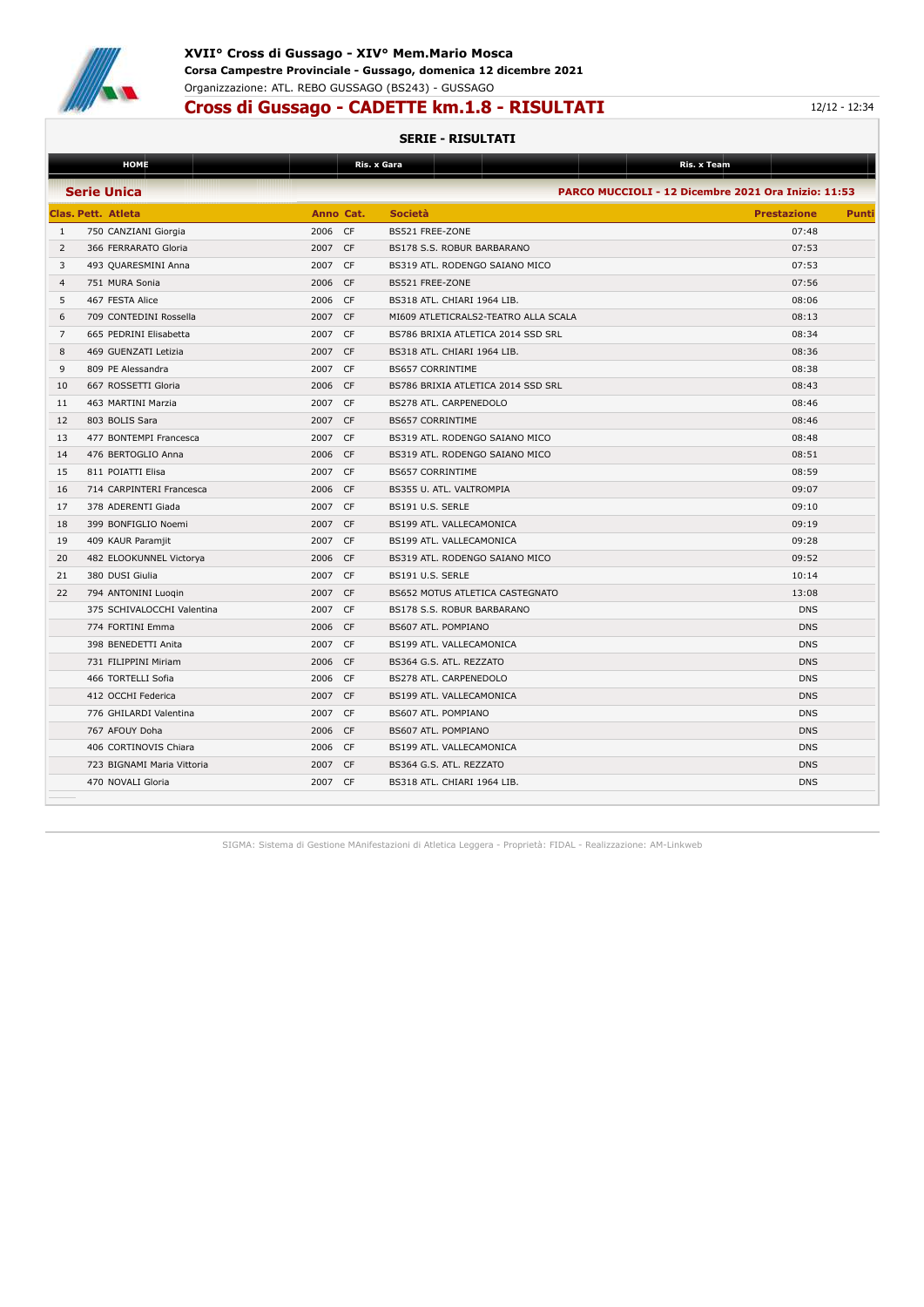

# **Cross di Gussago - CADETTE km.1.8 - RISULTATI** 12/12 - 12:34

#### **SERIE - RISULTATI**

|                | <b>HOME</b>                |                        | Ris. x Gara                          | Ris. x Team                                         |              |
|----------------|----------------------------|------------------------|--------------------------------------|-----------------------------------------------------|--------------|
|                | <b>Serie Unica</b>         |                        |                                      | PARCO MUCCIOLI - 12 Dicembre 2021 Ora Inizio: 11:53 |              |
|                | Clas. Pett. Atleta         | Anno Cat.              | <b>Società</b>                       | <b>Prestazione</b>                                  | <b>Punti</b> |
| 1              | 750 CANZIANI Giorgia       | 2006 CF                | BS521 FREE-ZONE                      | 07:48                                               |              |
| $\overline{2}$ | 366 FERRARATO Gloria       | 2007 CF                | BS178 S.S. ROBUR BARBARANO           | 07:53                                               |              |
| 3              | 493 QUARESMINI Anna        | 2007 CF                | BS319 ATL, RODENGO SAIANO MICO       | 07:53                                               |              |
| $\overline{4}$ | 751 MURA Sonia             | 2006 CF                | BS521 FREE-ZONE                      | 07:56                                               |              |
| 5              | 467 FESTA Alice            | 2006 CF                | BS318 ATL. CHIARI 1964 LIB.          | 08:06                                               |              |
| 6              | 709 CONTEDINI Rossella     | 2007<br><b>CF</b>      | MI609 ATLETICRALS2-TEATRO ALLA SCALA | 08:13                                               |              |
| $\overline{7}$ | 665 PEDRINI Elisabetta     | 2007<br><b>CF</b>      | BS786 BRIXIA ATLETICA 2014 SSD SRL   | 08:34                                               |              |
| 8              | 469 GUENZATI Letizia       | 2007 CF                | BS318 ATL. CHIARI 1964 LIB.          | 08:36                                               |              |
| 9              | 809 PE Alessandra          | <b>CF</b><br>2007      | <b>BS657 CORRINTIME</b>              | 08:38                                               |              |
| 10             | 667 ROSSETTI Gloria        | 2006<br><b>CF</b>      | BS786 BRIXIA ATLETICA 2014 SSD SRL   | 08:43                                               |              |
| 11             | 463 MARTINI Marzia         | 2007<br>CF.            | BS278 ATL. CARPENEDOLO               | 08:46                                               |              |
| 12             | 803 BOLIS Sara             | <b>CF</b><br>2007      | <b>BS657 CORRINTIME</b>              | 08:46                                               |              |
| 13             | 477 BONTEMPI Francesca     | 2007<br>CF.            | BS319 ATL, RODENGO SAIANO MICO       | 08:48                                               |              |
| 14             | 476 BERTOGLIO Anna         | 2006<br><b>CF</b>      | BS319 ATL, RODENGO SAIANO MICO       | 08:51                                               |              |
| 15             | 811 POIATTI Elisa          | CF<br>2007             | <b>BS657 CORRINTIME</b>              | 08:59                                               |              |
| 16             | 714 CARPINTERI Francesca   | 2006<br><b>CF</b>      | BS355 U. ATL. VALTROMPIA             | 09:07                                               |              |
| 17             | 378 ADERENTI Giada         | 2007<br>CF             | BS191 U.S. SERLE                     | 09:10                                               |              |
| 18             | 399 BONFIGLIO Noemi        | 2007<br><b>CF</b>      | BS199 ATL. VALLECAMONICA             | 09:19                                               |              |
| 19             | 409 KAUR Paramjit          | CF.<br>2007            | BS199 ATL. VALLECAMONICA             | 09:28                                               |              |
| 20             | 482 ELOOKUNNEL Victorya    | 2006<br><b>CF</b>      | BS319 ATL. RODENGO SAIANO MICO       | 09:52                                               |              |
| 21             | 380 DUSI Giulia            | 2007<br><b>CF</b>      | BS191 U.S. SERLE                     | 10:14                                               |              |
| 22             | 794 ANTONINI Luogin        | <b>CF</b><br>2007      | BS652 MOTUS ATLETICA CASTEGNATO      | 13:08                                               |              |
|                | 375 SCHIVALOCCHI Valentina | 2007<br><b>CF</b>      | BS178 S.S. ROBUR BARBARANO           | <b>DNS</b>                                          |              |
|                | 774 FORTINI Emma           | CF<br>2006             | BS607 ATL. POMPIANO                  | <b>DNS</b>                                          |              |
|                | 398 BENEDETTI Anita        | <b>CF</b><br>2007      | BS199 ATL. VALLECAMONICA             | <b>DNS</b>                                          |              |
|                | 731 FILIPPINI Miriam       | <b>CF</b><br>2006      | BS364 G.S. ATL. REZZATO              | <b>DNS</b>                                          |              |
|                | 466 TORTELLI Sofia         | CF.<br>2006            | BS278 ATL. CARPENEDOLO               | <b>DNS</b>                                          |              |
|                | 412 OCCHI Federica         | <b>CF</b><br>2007      | BS199 ATL. VALLECAMONICA             | <b>DNS</b>                                          |              |
|                | 776 GHILARDI Valentina     | <b>CF</b><br>2007      | BS607 ATL. POMPIANO                  | <b>DNS</b>                                          |              |
|                | 767 AFOUY Doha             | 2006<br>CF.            | BS607 ATL. POMPIANO                  | <b>DNS</b>                                          |              |
|                | 406 CORTINOVIS Chiara      | CF<br>2006             | BS199 ATL. VALLECAMONICA             | <b>DNS</b>                                          |              |
|                | 723 BIGNAMI Maria Vittoria | C <sub>F</sub><br>2007 | BS364 G.S. ATL. REZZATO              | <b>DNS</b>                                          |              |
|                | 470 NOVALI Gloria          | 2007<br><b>CF</b>      | BS318 ATL. CHIARI 1964 LIB.          | <b>DNS</b>                                          |              |
|                |                            |                        |                                      |                                                     |              |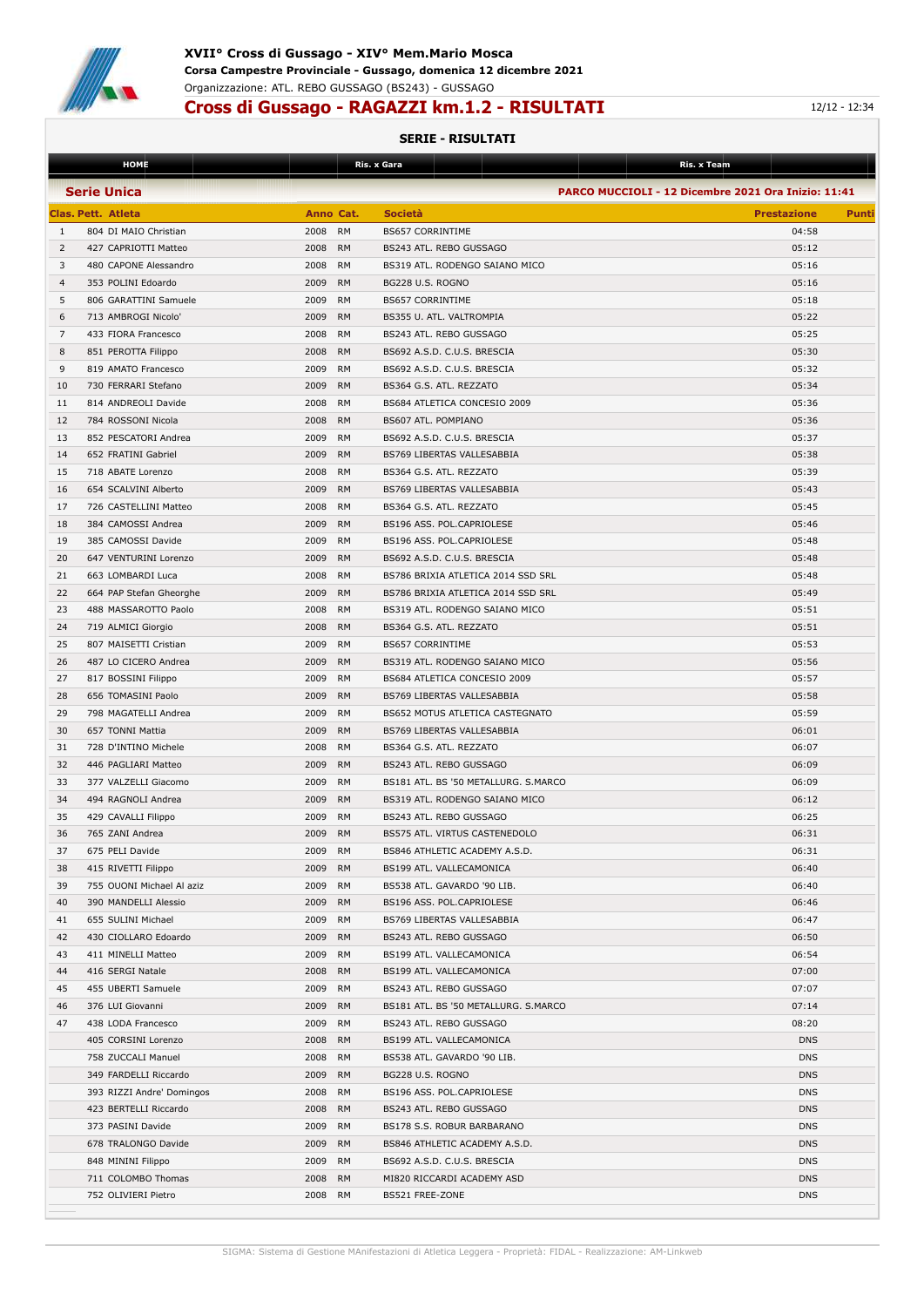

## **Cross di Gussago - RAGAZZI km.1.2 - RISULTATI 12/12 - 12:34**

|                | <b>HOME</b>                                   |                                        | Ris. x Gara                                        | Ris. x Team                                         |       |
|----------------|-----------------------------------------------|----------------------------------------|----------------------------------------------------|-----------------------------------------------------|-------|
|                | <b>Serie Unica</b>                            |                                        |                                                    | PARCO MUCCIOLI - 12 Dicembre 2021 Ora Inizio: 11:41 |       |
|                | <b>Clas. Pett. Atleta</b>                     | Anno Cat.                              | <b>Società</b>                                     |                                                     | Punti |
|                |                                               |                                        |                                                    | <b>Prestazione</b>                                  |       |
| 1<br>2         | 804 DI MAIO Christian<br>427 CAPRIOTTI Matteo | 2008<br><b>RM</b><br>2008<br><b>RM</b> | <b>BS657 CORRINTIME</b><br>BS243 ATL. REBO GUSSAGO | 04:58<br>05:12                                      |       |
|                |                                               |                                        |                                                    |                                                     |       |
| 3              | 480 CAPONE Alessandro                         | 2008<br>RM                             | BS319 ATL. RODENGO SAIANO MICO                     | 05:16                                               |       |
| $\overline{4}$ | 353 POLINI Edoardo                            | 2009<br><b>RM</b>                      | BG228 U.S. ROGNO                                   | 05:16                                               |       |
| 5              | 806 GARATTINI Samuele                         | 2009<br><b>RM</b>                      | <b>BS657 CORRINTIME</b>                            | 05:18                                               |       |
| 6              | 713 AMBROGI Nicolo'                           | 2009<br><b>RM</b>                      | BS355 U. ATL. VALTROMPIA                           | 05:22                                               |       |
| 7              | 433 FIORA Francesco                           | 2008<br><b>RM</b>                      | BS243 ATL. REBO GUSSAGO                            | 05:25                                               |       |
| 8              | 851 PEROTTA Filippo                           | 2008<br><b>RM</b>                      | BS692 A.S.D. C.U.S. BRESCIA                        | 05:30                                               |       |
| 9              | 819 AMATO Francesco                           | 2009<br><b>RM</b>                      | BS692 A.S.D. C.U.S. BRESCIA                        | 05:32                                               |       |
| 10             | 730 FERRARI Stefano                           | 2009<br><b>RM</b>                      | BS364 G.S. ATL. REZZATO                            | 05:34                                               |       |
| 11             | 814 ANDREOLI Davide                           | 2008<br>RM                             | BS684 ATLETICA CONCESIO 2009                       | 05:36                                               |       |
| 12             | 784 ROSSONI Nicola                            | 2008<br><b>RM</b>                      | BS607 ATL. POMPIANO                                | 05:36                                               |       |
| 13             | 852 PESCATORI Andrea                          | 2009<br>RM                             | BS692 A.S.D. C.U.S. BRESCIA                        | 05:37                                               |       |
| 14             | 652 FRATINI Gabriel                           | 2009<br><b>RM</b>                      | BS769 LIBERTAS VALLESABBIA                         | 05:38                                               |       |
| 15             | 718 ABATE Lorenzo                             | 2008<br>RM                             | BS364 G.S. ATL. REZZATO                            | 05:39                                               |       |
| 16             | 654 SCALVINI Alberto                          | 2009<br><b>RM</b>                      | BS769 LIBERTAS VALLESABBIA                         | 05:43                                               |       |
| 17             | 726 CASTELLINI Matteo                         | 2008<br><b>RM</b>                      | BS364 G.S. ATL. REZZATO                            | 05:45                                               |       |
| 18             | 384 CAMOSSI Andrea                            | 2009<br><b>RM</b>                      | BS196 ASS. POL.CAPRIOLESE                          | 05:46                                               |       |
| 19             | 385 CAMOSSI Davide                            | 2009<br><b>RM</b>                      | BS196 ASS. POL.CAPRIOLESE                          | 05:48                                               |       |
| 20             | 647 VENTURINI Lorenzo                         | 2009<br><b>RM</b>                      | BS692 A.S.D. C.U.S. BRESCIA                        | 05:48                                               |       |
| 21             | 663 LOMBARDI Luca                             | RM<br>2008                             | BS786 BRIXIA ATLETICA 2014 SSD SRL                 | 05:48                                               |       |
| 22             | 664 PAP Stefan Gheorghe                       | 2009<br><b>RM</b>                      | BS786 BRIXIA ATLETICA 2014 SSD SRL                 | 05:49                                               |       |
| 23             | 488 MASSAROTTO Paolo                          | 2008<br>RM                             | BS319 ATL. RODENGO SAIANO MICO                     | 05:51                                               |       |
| 24             | 719 ALMICI Giorgio                            | 2008<br><b>RM</b>                      | BS364 G.S. ATL. REZZATO                            | 05:51                                               |       |
| 25             | 807 MAISETTI Cristian                         | 2009<br><b>RM</b>                      | <b>BS657 CORRINTIME</b>                            | 05:53                                               |       |
| 26             | 487 LO CICERO Andrea                          | 2009<br><b>RM</b>                      | BS319 ATL. RODENGO SAIANO MICO                     | 05:56                                               |       |
| 27             | 817 BOSSINI Filippo                           | 2009<br><b>RM</b>                      | BS684 ATLETICA CONCESIO 2009                       | 05:57                                               |       |
| 28             | 656 TOMASINI Paolo                            | 2009<br><b>RM</b>                      | BS769 LIBERTAS VALLESABBIA                         | 05:58                                               |       |
| 29             | 798 MAGATELLI Andrea                          | 2009<br>RM                             | BS652 MOTUS ATLETICA CASTEGNATO                    | 05:59                                               |       |
| 30             | 657 TONNI Mattia                              | 2009<br><b>RM</b>                      | BS769 LIBERTAS VALLESABBIA                         | 06:01                                               |       |
| 31             | 728 D'INTINO Michele                          | <b>RM</b><br>2008                      | BS364 G.S. ATL. REZZATO                            | 06:07                                               |       |
| 32             | 446 PAGLIARI Matteo                           | 2009<br><b>RM</b>                      | BS243 ATL. REBO GUSSAGO                            | 06:09                                               |       |
| 33             | 377 VALZELLI Giacomo                          | 2009<br>RM                             | BS181 ATL. BS '50 METALLURG. S.MARCO               | 06:09                                               |       |
| 34             | 494 RAGNOLI Andrea                            | 2009<br><b>RM</b>                      | BS319 ATL. RODENGO SAIANO MICO                     | 06:12                                               |       |
| 35             |                                               | 2009<br><b>RM</b>                      | BS243 ATL. REBO GUSSAGO                            | 06:25                                               |       |
|                | 429 CAVALLI Filippo                           |                                        | BS575 ATL. VIRTUS CASTENEDOLO                      |                                                     |       |
| 36             | 765 ZANI Andrea                               | 2009<br><b>RM</b>                      |                                                    | 06:31                                               |       |
| 37             | 675 PELI Davide                               | 2009<br>RM                             | BS846 ATHLETIC ACADEMY A.S.D.                      | 06:31                                               |       |
| 38             | 415 RIVETTI Filippo                           | 2009 RM                                | BS199 ATL. VALLECAMONICA                           | 06:40                                               |       |
| 39             | 755 OUONI Michael Al aziz                     | 2009<br>RM                             | BS538 ATL. GAVARDO '90 LIB.                        | 06:40                                               |       |
| 40             | 390 MANDELLI Alessio                          | 2009 RM                                | BS196 ASS. POL.CAPRIOLESE                          | 06:46                                               |       |
| 41             | 655 SULINI Michael                            | 2009 RM                                | BS769 LIBERTAS VALLESABBIA                         | 06:47                                               |       |
| 42             | 430 CIOLLARO Edoardo                          | 2009 RM                                | BS243 ATL. REBO GUSSAGO                            | 06:50                                               |       |
| 43             | 411 MINELLI Matteo                            | 2009 RM                                | BS199 ATL. VALLECAMONICA                           | 06:54                                               |       |
| 44             | 416 SERGI Natale                              | 2008 RM                                | BS199 ATL. VALLECAMONICA                           | 07:00                                               |       |
| 45             | 455 UBERTI Samuele                            | 2009 RM                                | BS243 ATL. REBO GUSSAGO                            | 07:07                                               |       |
| 46             | 376 LUI Giovanni                              | 2009 RM                                | BS181 ATL. BS '50 METALLURG. S.MARCO               | 07:14                                               |       |
| 47             | 438 LODA Francesco                            | 2009 RM                                | BS243 ATL. REBO GUSSAGO                            | 08:20                                               |       |
|                | 405 CORSINI Lorenzo                           | 2008 RM                                | BS199 ATL. VALLECAMONICA                           | <b>DNS</b>                                          |       |
|                | 758 ZUCCALI Manuel                            | 2008 RM                                | BS538 ATL. GAVARDO '90 LIB.                        | <b>DNS</b>                                          |       |
|                | 349 FARDELLI Riccardo                         | 2009 RM                                | BG228 U.S. ROGNO                                   | <b>DNS</b>                                          |       |
|                | 393 RIZZI Andre' Domingos                     | 2008 RM                                | BS196 ASS. POL.CAPRIOLESE                          | <b>DNS</b>                                          |       |
|                | 423 BERTELLI Riccardo                         | 2008 RM                                | BS243 ATL. REBO GUSSAGO                            | <b>DNS</b>                                          |       |
|                | 373 PASINI Davide                             | 2009 RM                                | BS178 S.S. ROBUR BARBARANO                         | <b>DNS</b>                                          |       |
|                | 678 TRALONGO Davide                           | 2009 RM                                | BS846 ATHLETIC ACADEMY A.S.D.                      | <b>DNS</b>                                          |       |
|                | 848 MININI Filippo                            | 2009 RM                                | BS692 A.S.D. C.U.S. BRESCIA                        | <b>DNS</b>                                          |       |
|                | 711 COLOMBO Thomas                            | 2008 RM                                | MI820 RICCARDI ACADEMY ASD                         | <b>DNS</b>                                          |       |
|                | 752 OLIVIERI Pietro                           | 2008 RM                                | BS521 FREE-ZONE                                    | <b>DNS</b>                                          |       |
|                |                                               |                                        |                                                    |                                                     |       |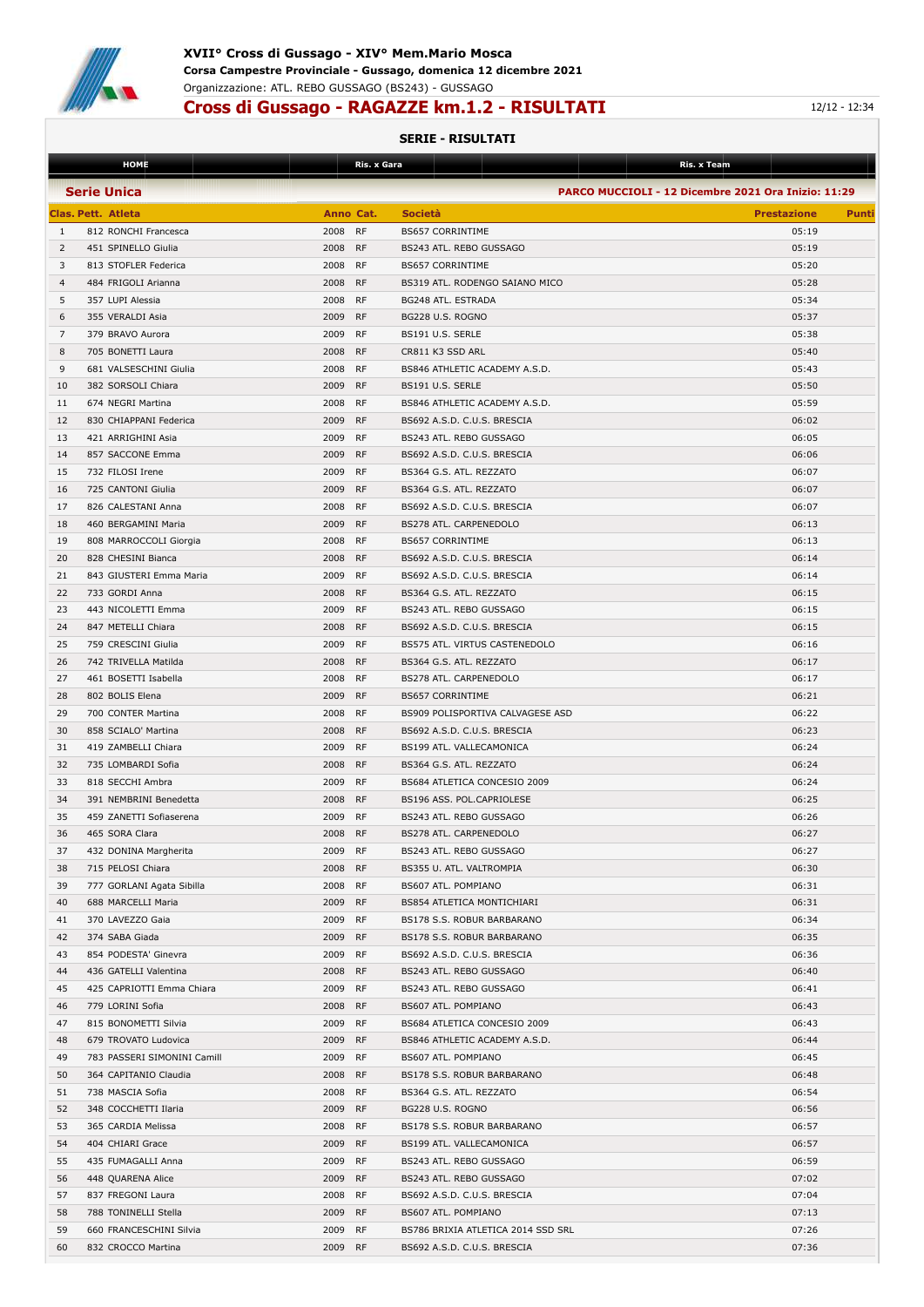

## **Cross di Gussago - RAGAZZE km.1.2 - RISULTATI** 12/12 - 12:34

|                | <b>HOME</b>                 |           | <u>Ris. x Gara</u> |                                    | Ris. x Team                                         |
|----------------|-----------------------------|-----------|--------------------|------------------------------------|-----------------------------------------------------|
|                | <b>Serie Unica</b>          |           |                    |                                    | PARCO MUCCIOLI - 12 Dicembre 2021 Ora Inizio: 11:29 |
|                |                             |           |                    |                                    |                                                     |
|                | <b>Clas. Pett. Atleta</b>   | Anno Cat. |                    | <b>Società</b>                     | <b>Prestazione</b><br>Punti                         |
| 1              | 812 RONCHI Francesca        | 2008      | RF                 | <b>BS657 CORRINTIME</b>            | 05:19                                               |
| 2              | 451 SPINELLO Giulia         | 2008      | <b>RF</b>          | BS243 ATL. REBO GUSSAGO            | 05:19                                               |
| 3              | 813 STOFLER Federica        | 2008 RF   |                    | <b>BS657 CORRINTIME</b>            | 05:20                                               |
| $\overline{4}$ | 484 FRIGOLI Arianna         | 2008      | <b>RF</b>          | BS319 ATL. RODENGO SAIANO MICO     | 05:28                                               |
| 5              | 357 LUPI Alessia            | 2008      | RF                 | BG248 ATL. ESTRADA                 | 05:34                                               |
| 6              | 355 VERALDI Asia            | 2009      | <b>RF</b>          | BG228 U.S. ROGNO                   | 05:37                                               |
| 7              | 379 BRAVO Aurora            | 2009      | <b>RF</b>          | BS191 U.S. SERLE                   | 05:38                                               |
| 8              | 705 BONETTI Laura           | 2008      | <b>RF</b>          | CR811 K3 SSD ARL                   | 05:40                                               |
| 9              | 681 VALSESCHINI Giulia      | 2008      | <b>RF</b>          | BS846 ATHLETIC ACADEMY A.S.D.      | 05:43                                               |
| 10             | 382 SORSOLI Chiara          | 2009      | <b>RF</b>          | BS191 U.S. SERLE                   | 05:50                                               |
|                |                             |           | RF                 |                                    | 05:59                                               |
| 11             | 674 NEGRI Martina           | 2008      |                    | BS846 ATHLETIC ACADEMY A.S.D.      |                                                     |
| 12             | 830 CHIAPPANI Federica      | 2009      | <b>RF</b>          | BS692 A.S.D. C.U.S. BRESCIA        | 06:02                                               |
| 13             | 421 ARRIGHINI Asia          | 2009      | RF                 | BS243 ATL. REBO GUSSAGO            | 06:05                                               |
| 14             | 857 SACCONE Emma            | 2009      | <b>RF</b>          | BS692 A.S.D. C.U.S. BRESCIA        | 06:06                                               |
| 15             | 732 FILOSI Irene            | 2009      | RF                 | BS364 G.S. ATL. REZZATO            | 06:07                                               |
| 16             | 725 CANTONI Giulia          | 2009      | <b>RF</b>          | BS364 G.S. ATL. REZZATO            | 06:07                                               |
| 17             | 826 CALESTANI Anna          | 2008      | RF                 | BS692 A.S.D. C.U.S. BRESCIA        | 06:07                                               |
| 18             | 460 BERGAMINI Maria         | 2009      | <b>RF</b>          | BS278 ATL. CARPENEDOLO             | 06:13                                               |
| 19             | 808 MARROCCOLI Giorgia      | 2008      | <b>RF</b>          | <b>BS657 CORRINTIME</b>            | 06:13                                               |
| 20             | 828 CHESINI Bianca          | 2008      | <b>RF</b>          | BS692 A.S.D. C.U.S. BRESCIA        | 06:14                                               |
| 21             | 843 GIUSTERI Emma Maria     | 2009      | <b>RF</b>          | BS692 A.S.D. C.U.S. BRESCIA        | 06:14                                               |
| 22             | 733 GORDI Anna              | 2008      | <b>RF</b>          | BS364 G.S. ATL. REZZATO            | 06:15                                               |
| 23             | 443 NICOLETTI Emma          | 2009      | RF                 | BS243 ATL. REBO GUSSAGO            | 06:15                                               |
| 24             | 847 METELLI Chiara          | 2008      | <b>RF</b>          | BS692 A.S.D. C.U.S. BRESCIA        | 06:15                                               |
| 25             |                             | 2009      | RF                 |                                    | 06:16                                               |
|                | 759 CRESCINI Giulia         |           |                    | BS575 ATL. VIRTUS CASTENEDOLO      |                                                     |
| 26             | 742 TRIVELLA Matilda        | 2008      | RF                 | BS364 G.S. ATL. REZZATO            | 06:17                                               |
| 27             | 461 BOSETTI Isabella        | 2008      | RF                 | BS278 ATL. CARPENEDOLO             | 06:17                                               |
| 28             | 802 BOLIS Elena             | 2009      | <b>RF</b>          | <b>BS657 CORRINTIME</b>            | 06:21                                               |
| 29             | 700 CONTER Martina          | 2008      | RF                 | BS909 POLISPORTIVA CALVAGESE ASD   | 06:22                                               |
| 30             | 858 SCIALO' Martina         | 2008      | <b>RF</b>          | BS692 A.S.D. C.U.S. BRESCIA        | 06:23                                               |
| 31             | 419 ZAMBELLI Chiara         | 2009      | RF                 | BS199 ATL. VALLECAMONICA           | 06:24                                               |
| 32             | 735 LOMBARDI Sofia          | 2008      | <b>RF</b>          | BS364 G.S. ATL. REZZATO            | 06:24                                               |
| 33             | 818 SECCHI Ambra            | 2009      | RF                 | BS684 ATLETICA CONCESIO 2009       | 06:24                                               |
| 34             | 391 NEMBRINI Benedetta      | 2008      | <b>RF</b>          | BS196 ASS. POL.CAPRIOLESE          | 06:25                                               |
| 35             | 459 ZANETTI Sofiaserena     | 2009      | RF                 | BS243 ATL. REBO GUSSAGO            | 06:26                                               |
| 36             | 465 SORA Clara              | 2008      | <b>RF</b>          | BS278 ATL. CARPENEDOLO             | 06:27                                               |
| 37             | 432 DONINA Margherita       | 2009 RF   |                    | BS243 ATL, REBO GUSSAGO            | 06:27                                               |
| 38             | 715 PELOSI Chiara           | 2008 RF   |                    | BS355 U. ATL. VALTROMPIA           | 06:30                                               |
| 39             | 777 GORLANI Agata Sibilla   | 2008      | <b>RF</b>          | BS607 ATL. POMPIANO                | 06:31                                               |
| 40             | 688 MARCELLI Maria          | 2009 RF   |                    | BS854 ATLETICA MONTICHIARI         | 06:31                                               |
|                |                             |           |                    |                                    |                                                     |
| 41             | 370 LAVEZZO Gaia            | 2009 RF   |                    | BS178 S.S. ROBUR BARBARANO         | 06:34                                               |
| 42             | 374 SABA Giada              | 2009 RF   |                    | BS178 S.S. ROBUR BARBARANO         | 06:35                                               |
| 43             | 854 PODESTA' Ginevra        | 2009 RF   |                    | BS692 A.S.D. C.U.S. BRESCIA        | 06:36                                               |
| 44             | 436 GATELLI Valentina       | 2008      | <b>RF</b>          | BS243 ATL. REBO GUSSAGO            | 06:40                                               |
| 45             | 425 CAPRIOTTI Emma Chiara   | 2009      | <b>RF</b>          | BS243 ATL. REBO GUSSAGO            | 06:41                                               |
| 46             | 779 LORINI Sofia            | 2008      | <b>RF</b>          | BS607 ATL. POMPIANO                | 06:43                                               |
| 47             | 815 BONOMETTI Silvia        | 2009 RF   |                    | BS684 ATLETICA CONCESIO 2009       | 06:43                                               |
| 48             | 679 TROVATO Ludovica        | 2009 RF   |                    | BS846 ATHLETIC ACADEMY A.S.D.      | 06:44                                               |
| 49             | 783 PASSERI SIMONINI Camill | 2009 RF   |                    | BS607 ATL. POMPIANO                | 06:45                                               |
| 50             | 364 CAPITANIO Claudia       | 2008 RF   |                    | BS178 S.S. ROBUR BARBARANO         | 06:48                                               |
| 51             | 738 MASCIA Sofia            | 2008      | <b>RF</b>          | BS364 G.S. ATL. REZZATO            | 06:54                                               |
| 52             | 348 COCCHETTI Ilaria        | 2009      | <b>RF</b>          | BG228 U.S. ROGNO                   | 06:56                                               |
| 53             | 365 CARDIA Melissa          | 2008      | <b>RF</b>          | BS178 S.S. ROBUR BARBARANO         | 06:57                                               |
| 54             | 404 CHIARI Grace            | 2009 RF   |                    | BS199 ATL. VALLECAMONICA           | 06:57                                               |
|                |                             |           |                    |                                    |                                                     |
| 55             | 435 FUMAGALLI Anna          | 2009 RF   |                    | BS243 ATL. REBO GUSSAGO            | 06:59                                               |
| 56             | 448 QUARENA Alice           | 2009 RF   |                    | BS243 ATL. REBO GUSSAGO            | 07:02                                               |
| 57             | 837 FREGONI Laura           | 2008 RF   |                    | BS692 A.S.D. C.U.S. BRESCIA        | 07:04                                               |
| 58             | 788 TONINELLI Stella        | 2009      | <b>RF</b>          | BS607 ATL. POMPIANO                | 07:13                                               |
| 59             | 660 FRANCESCHINI Silvia     | 2009      | RF                 | BS786 BRIXIA ATLETICA 2014 SSD SRL | 07:26                                               |
| 60             | 832 CROCCO Martina          | 2009 RF   |                    | BS692 A.S.D. C.U.S. BRESCIA        | 07:36                                               |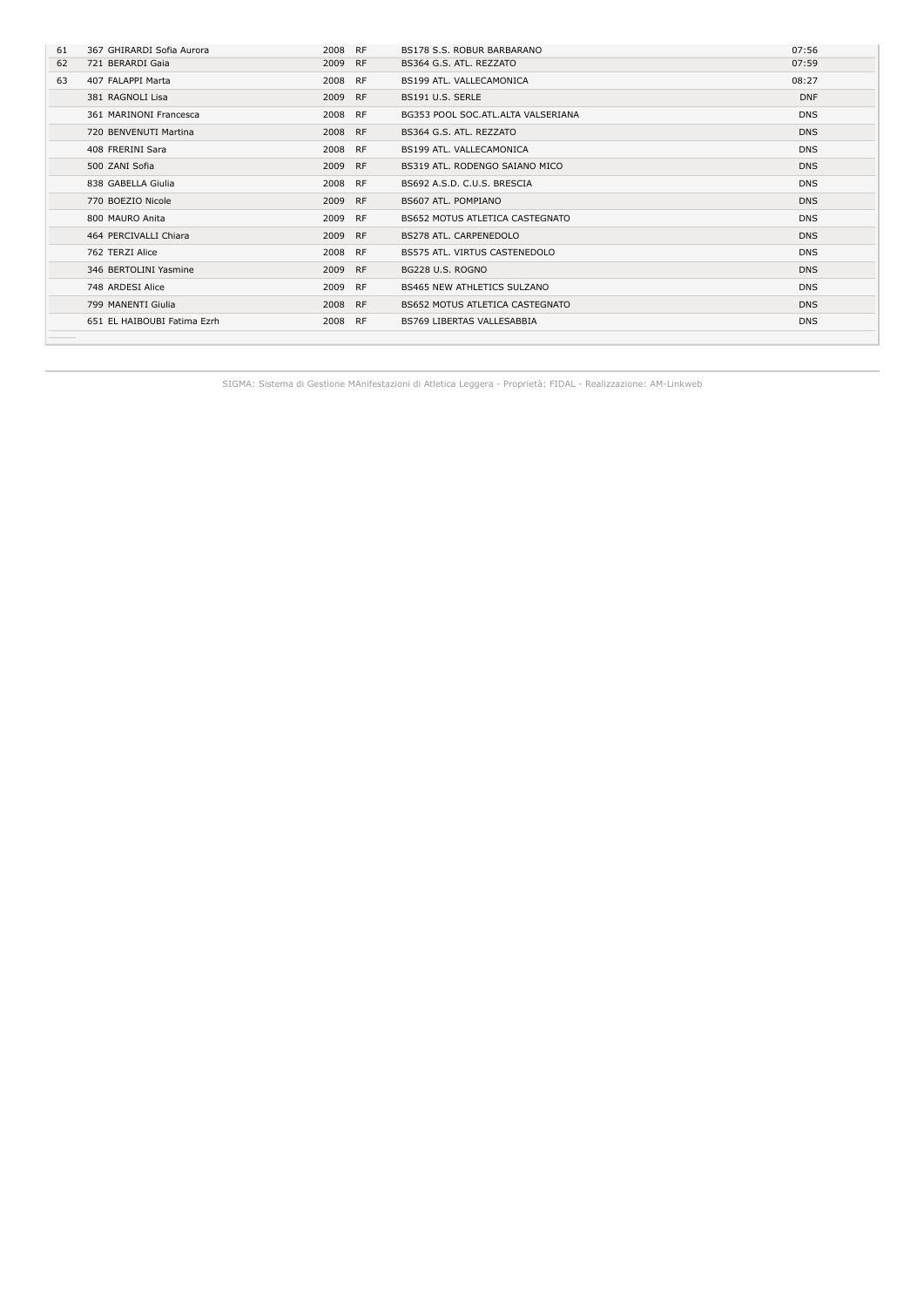| 61 | 367 GHIRARDI Sofia Aurora   | 2008    | <b>RF</b> | BS178 S.S. ROBUR BARBARANO         | 07:56      |
|----|-----------------------------|---------|-----------|------------------------------------|------------|
|    |                             |         |           |                                    |            |
| 62 | 721 BERARDI Gaia            | 2009    | <b>RF</b> | BS364 G.S. ATL. REZZATO            | 07:59      |
| 63 | 407 FALAPPI Marta           | 2008    | <b>RF</b> | BS199 ATL, VALLECAMONICA           | 08:27      |
|    | 381 RAGNOLI Lisa            | 2009 RF |           | BS191 U.S. SERLE                   | <b>DNF</b> |
|    | 361 MARINONI Francesca      | 2008 RF |           | BG353 POOL SOC.ATL.ALTA VALSERIANA | <b>DNS</b> |
|    | 720 BENVENUTI Martina       | 2008 RF |           | BS364 G.S. ATL. REZZATO            | <b>DNS</b> |
|    | 408 FRERINI Sara            | 2008 RF |           | BS199 ATL. VALLECAMONICA           | <b>DNS</b> |
|    | 500 ZANI Sofia              | 2009 RF |           | BS319 ATL, RODENGO SAIANO MICO     | <b>DNS</b> |
|    | 838 GABELLA Giulia          | 2008 RF |           | BS692 A.S.D. C.U.S. BRESCIA        | <b>DNS</b> |
|    | 770 BOEZIO Nicole           | 2009 RF |           | BS607 ATL. POMPIANO                | <b>DNS</b> |
|    | 800 MAURO Anita             | 2009    | <b>RF</b> | BS652 MOTUS ATLETICA CASTEGNATO    | <b>DNS</b> |
|    | 464 PERCIVALLI Chiara       | 2009    | <b>RF</b> | BS278 ATL. CARPENEDOLO             | <b>DNS</b> |
|    | 762 TERZI Alice             | 2008 RF |           | BS575 ATL. VIRTUS CASTENEDOLO      | <b>DNS</b> |
|    | 346 BERTOLINI Yasmine       | 2009 RF |           | BG228 U.S. ROGNO                   | <b>DNS</b> |
|    | 748 ARDESI Alice            | 2009    | <b>RF</b> | BS465 NEW ATHLETICS SULZANO        | <b>DNS</b> |
|    | 799 MANENTI Giulia          | 2008 RF |           | BS652 MOTUS ATLETICA CASTEGNATO    | <b>DNS</b> |
|    | 651 EL HAIBOUBI Fatima Ezrh | 2008 RF |           | <b>BS769 LIBERTAS VALLESABBIA</b>  | <b>DNS</b> |
|    |                             |         |           |                                    |            |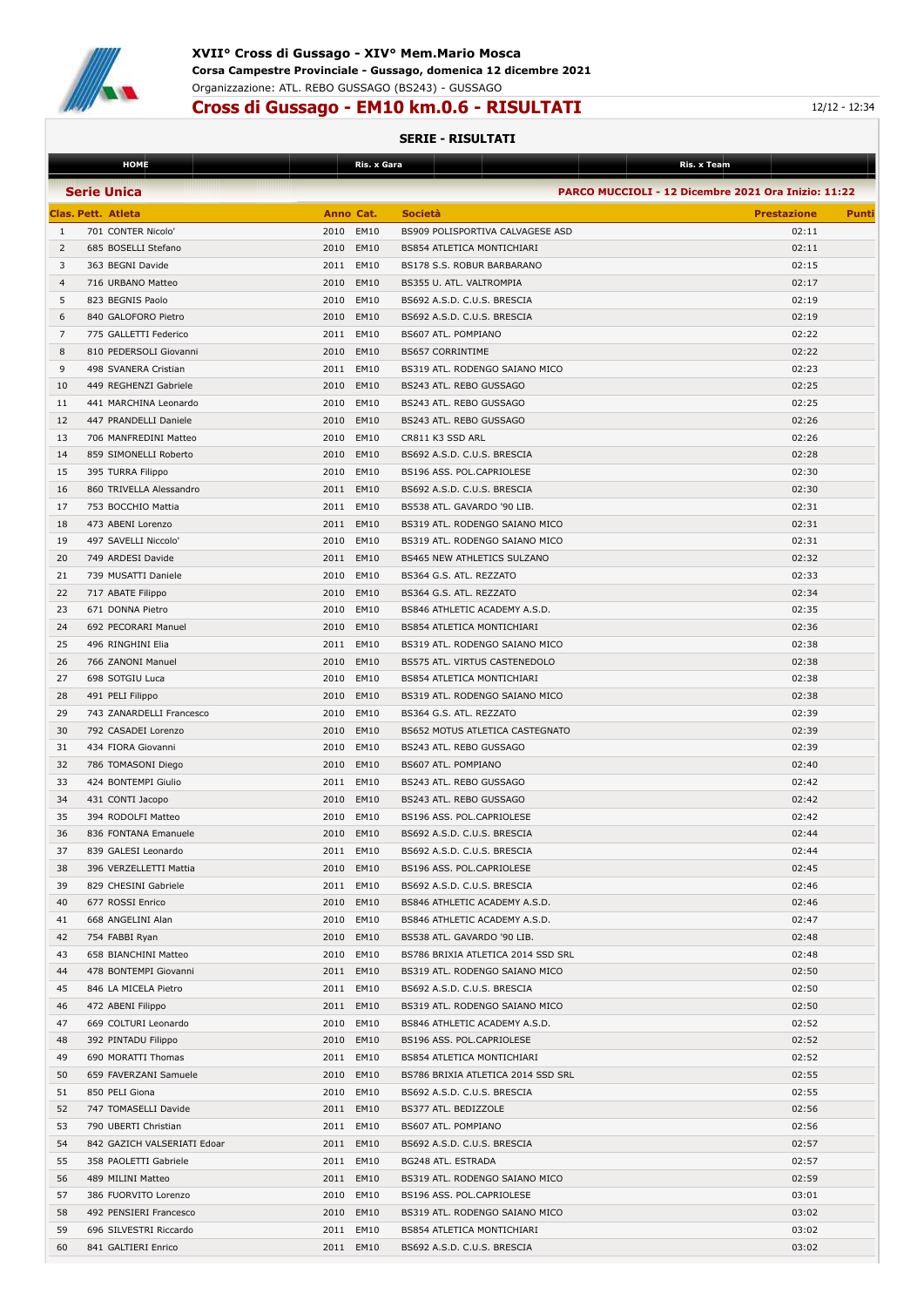

### **XVII° Cross di Gussago - XIV° Mem.Mario Mosca Corsa Campestre Provinciale - Gussago, domenica 12 dicembre 2021** Organizzazione: ATL. REBO GUSSAGO (BS243) - GUSSAGO

## **Cross di Gussago - EM10 km.0.6 - RISULTATI** 12/12 - 12:34

|                | <b>HOME</b>                 |           | Ris. x Gara | Ris. x Team                                         |                    |       |
|----------------|-----------------------------|-----------|-------------|-----------------------------------------------------|--------------------|-------|
|                | <b>Serie Unica</b>          |           |             | PARCO MUCCIOLI - 12 Dicembre 2021 Ora Inizio: 11:22 |                    |       |
|                |                             |           |             | <b>Società</b>                                      |                    |       |
|                | Clas. Pett. Atleta          | Anno Cat. |             |                                                     | <b>Prestazione</b> | Punti |
| 1              | 701 CONTER Nicolo'          | 2010      | EM10        | BS909 POLISPORTIVA CALVAGESE ASD                    | 02:11              |       |
| 2              | 685 BOSELLI Stefano         | 2010 EM10 |             | BS854 ATLETICA MONTICHIARI                          | 02:11              |       |
| 3              | 363 BEGNI Davide            | 2011 EM10 |             | BS178 S.S. ROBUR BARBARANO                          | 02:15              |       |
| $\overline{4}$ | 716 URBANO Matteo           | 2010 EM10 |             | BS355 U. ATL. VALTROMPIA                            | 02:17              |       |
| 5              | 823 BEGNIS Paolo            | 2010      | EM10        | BS692 A.S.D. C.U.S. BRESCIA                         | 02:19              |       |
| 6              | 840 GALOFORO Pietro         | 2010      | EM10        | BS692 A.S.D. C.U.S. BRESCIA                         | 02:19              |       |
| 7              | 775 GALLETTI Federico       | 2011 EM10 |             | BS607 ATL. POMPIANO                                 | 02:22              |       |
| 8              | 810 PEDERSOLI Giovanni      | 2010      | EM10        | <b>BS657 CORRINTIME</b>                             | 02:22              |       |
| 9              | 498 SVANERA Cristian        | 2011 EM10 |             | BS319 ATL. RODENGO SAIANO MICO                      | 02:23              |       |
| 10             | 449 REGHENZI Gabriele       | 2010 EM10 |             | BS243 ATL. REBO GUSSAGO                             | 02:25              |       |
| 11             | 441 MARCHINA Leonardo       | 2010      | EM10        | BS243 ATL. REBO GUSSAGO                             | 02:25              |       |
| 12             | 447 PRANDELLI Daniele       | 2010      | EM10        | BS243 ATL. REBO GUSSAGO                             | 02:26              |       |
| 13             | 706 MANFREDINI Matteo       | 2010      | EM10        | CR811 K3 SSD ARL                                    | 02:26              |       |
| 14             | 859 SIMONELLI Roberto       | 2010 EM10 |             | BS692 A.S.D. C.U.S. BRESCIA                         | 02:28              |       |
| 15             | 395 TURRA Filippo           | 2010      | EM10        | BS196 ASS. POL.CAPRIOLESE                           | 02:30              |       |
| 16             | 860 TRIVELLA Alessandro     | 2011 EM10 |             | BS692 A.S.D. C.U.S. BRESCIA                         | 02:30              |       |
| 17             | 753 BOCCHIO Mattia          | 2011 EM10 |             | BS538 ATL. GAVARDO '90 LIB.                         | 02:31              |       |
| 18             | 473 ABENI Lorenzo           | 2011 EM10 |             | BS319 ATL. RODENGO SAIANO MICO                      | 02:31              |       |
| 19             | 497 SAVELLI Niccolo'        | 2010      | EM10        | BS319 ATL. RODENGO SAIANO MICO                      | 02:31              |       |
| 20             | 749 ARDESI Davide           | 2011 EM10 |             | BS465 NEW ATHLETICS SULZANO                         | 02:32              |       |
| 21             | 739 MUSATTI Daniele         | 2010      | EM10        | BS364 G.S. ATL. REZZATO                             | 02:33              |       |
| 22             | 717 ABATE Filippo           | 2010      | EM10        | BS364 G.S. ATL. REZZATO                             | 02:34              |       |
| 23             |                             |           |             |                                                     |                    |       |
|                | 671 DONNA Pietro            | 2010      | EM10        | BS846 ATHLETIC ACADEMY A.S.D.                       | 02:35              |       |
| 24             | 692 PECORARI Manuel         | 2010      | <b>EM10</b> | <b>BS854 ATLETICA MONTICHIARI</b>                   | 02:36              |       |
| 25             | 496 RINGHINI Elia           | 2011      | EM10        | BS319 ATL. RODENGO SAIANO MICO                      | 02:38              |       |
| 26             | 766 ZANONI Manuel           | 2010      | EM10        | BS575 ATL. VIRTUS CASTENEDOLO                       | 02:38              |       |
| 27             | 698 SOTGIU Luca             | 2010      | EM10        | <b>BS854 ATLETICA MONTICHIARI</b>                   | 02:38              |       |
| 28             | 491 PELI Filippo            | 2010      | <b>EM10</b> | BS319 ATL. RODENGO SAIANO MICO                      | 02:38              |       |
| 29             | 743 ZANARDELLI Francesco    | 2010      | EM10        | BS364 G.S. ATL. REZZATO                             | 02:39              |       |
| 30             | 792 CASADEI Lorenzo         | 2010 EM10 |             | BS652 MOTUS ATLETICA CASTEGNATO                     | 02:39              |       |
| 31             | 434 FIORA Giovanni          | 2010      | <b>EM10</b> | BS243 ATL. REBO GUSSAGO                             | 02:39              |       |
| 32             | 786 TOMASONI Diego          | 2010      | EM10        | BS607 ATL. POMPIANO                                 | 02:40              |       |
| 33             | 424 BONTEMPI Giulio         | 2011      | <b>EM10</b> | BS243 ATL. REBO GUSSAGO                             | 02:42              |       |
| 34             | 431 CONTI Jacopo            | 2010      | EM10        | BS243 ATL. REBO GUSSAGO                             | 02:42              |       |
| 35             | 394 RODOLFI Matteo          | 2010      | EM10        | BS196 ASS. POL.CAPRIOLESE                           | 02:42              |       |
| 36             | 836 FONTANA Emanuele        | 2010      | EM10        | BS692 A.S.D. C.U.S. BRESCIA                         | 02:44              |       |
| 37             | 839 GALESI Leonardo         | 2011 EM10 |             | BS692 A.S.D. C.U.S. BRESCIA                         | 02:44              |       |
| 38             | 396 VERZELLETTI Mattia      | 2010 EM10 |             | BS196 ASS. POL.CAPRIOLESE                           | 02:45              |       |
| 39             | 829 CHESINI Gabriele        | 2011 EM10 |             | BS692 A.S.D. C.U.S. BRESCIA                         | 02:46              |       |
| 40             | 677 ROSSI Enrico            |           | 2010 EM10   | BS846 ATHLETIC ACADEMY A.S.D.                       | 02:46              |       |
| 41             | 668 ANGELINI Alan           | 2010 EM10 |             | BS846 ATHLETIC ACADEMY A.S.D.                       | 02:47              |       |
| 42             | 754 FABBI Ryan              | 2010 EM10 |             | BS538 ATL. GAVARDO '90 LIB.                         | 02:48              |       |
| 43             | 658 BIANCHINI Matteo        | 2010 EM10 |             | BS786 BRIXIA ATLETICA 2014 SSD SRL                  | 02:48              |       |
| 44             | 478 BONTEMPI Giovanni       | 2011 EM10 |             | BS319 ATL. RODENGO SAIANO MICO                      | 02:50              |       |
| 45             | 846 LA MICELA Pietro        | 2011 EM10 |             | BS692 A.S.D. C.U.S. BRESCIA                         | 02:50              |       |
| 46             | 472 ABENI Filippo           | 2011 EM10 |             | BS319 ATL. RODENGO SAIANO MICO                      | 02:50              |       |
| 47             | 669 COLTURI Leonardo        | 2010 EM10 |             | BS846 ATHLETIC ACADEMY A.S.D.                       | 02:52              |       |
| 48             | 392 PINTADU Filippo         | 2010 EM10 |             | BS196 ASS. POL.CAPRIOLESE                           | 02:52              |       |
| 49             | 690 MORATTI Thomas          | 2011 EM10 |             | BS854 ATLETICA MONTICHIARI                          | 02:52              |       |
| 50             | 659 FAVERZANI Samuele       |           | 2010 EM10   | BS786 BRIXIA ATLETICA 2014 SSD SRL                  | 02:55              |       |
| 51             | 850 PELI Giona              | 2010 EM10 |             | BS692 A.S.D. C.U.S. BRESCIA                         | 02:55              |       |
| 52             | 747 TOMASELLI Davide        | 2011 EM10 |             | BS377 ATL. BEDIZZOLE                                | 02:56              |       |
|                |                             |           |             |                                                     |                    |       |
| 53             | 790 UBERTI Christian        | 2011 EM10 |             | BS607 ATL. POMPIANO                                 | 02:56              |       |
| 54             | 842 GAZICH VALSERIATI Edoar | 2011 EM10 |             | BS692 A.S.D. C.U.S. BRESCIA                         | 02:57              |       |
| 55             | 358 PAOLETTI Gabriele       | 2011 EM10 |             | BG248 ATL. ESTRADA                                  | 02:57              |       |
| 56             | 489 MILINI Matteo           |           | 2011 EM10   | BS319 ATL. RODENGO SAIANO MICO                      | 02:59              |       |
| 57             | 386 FUORVITO Lorenzo        |           | 2010 EM10   | BS196 ASS. POL.CAPRIOLESE                           | 03:01              |       |
| 58             | 492 PENSIERI Francesco      | 2010 EM10 |             | BS319 ATL. RODENGO SAIANO MICO                      | 03:02              |       |
| 59             | 696 SILVESTRI Riccardo      | 2011 EM10 |             | BS854 ATLETICA MONTICHIARI                          | 03:02              |       |
| 60             | 841 GALTIERI Enrico         |           | 2011 EM10   | BS692 A.S.D. C.U.S. BRESCIA                         | 03:02              |       |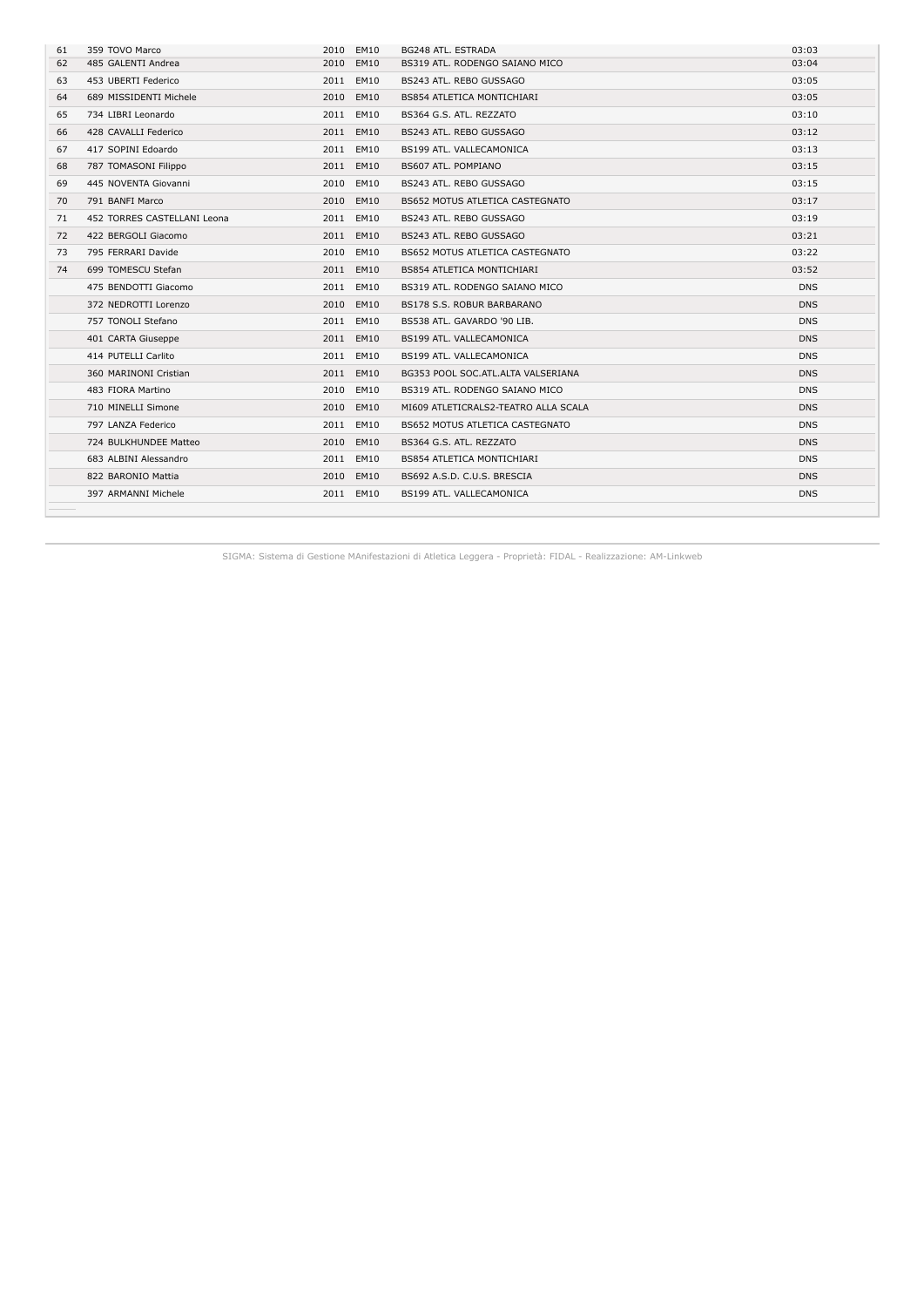| 61 | 359 TOVO Marco              | 2010 EM10 | BG248 ATL. ESTRADA                   | 03:03      |
|----|-----------------------------|-----------|--------------------------------------|------------|
| 62 | 485 GALENTI Andrea          | 2010 EM10 | BS319 ATL, RODENGO SAIANO MICO       | 03:04      |
| 63 | 453 UBERTI Federico         | 2011 EM10 | BS243 ATL, REBO GUSSAGO              | 03:05      |
| 64 | 689 MISSIDENTI Michele      | 2010 EM10 | BS854 ATLETICA MONTICHIARI           | 03:05      |
| 65 | 734 LIBRI Leonardo          | 2011 EM10 | BS364 G.S. ATL. REZZATO              | 03:10      |
| 66 | 428 CAVALLI Federico        | 2011 EM10 | BS243 ATL. REBO GUSSAGO              | 03:12      |
| 67 | 417 SOPINI Edoardo          | 2011 EM10 | BS199 ATL. VALLECAMONICA             | 03:13      |
| 68 | 787 TOMASONI Filippo        | 2011 EM10 | BS607 ATL. POMPIANO                  | 03:15      |
| 69 | 445 NOVENTA Giovanni        | 2010 EM10 | BS243 ATL, REBO GUSSAGO              | 03:15      |
| 70 | 791 BANFI Marco             | 2010 EM10 | BS652 MOTUS ATLETICA CASTEGNATO      | 03:17      |
| 71 | 452 TORRES CASTELLANI Leona | 2011 EM10 | BS243 ATL, REBO GUSSAGO              | 03:19      |
| 72 | 422 BERGOLI Giacomo         | 2011 EM10 | BS243 ATL, REBO GUSSAGO              | 03:21      |
| 73 | 795 FERRARI Davide          | 2010 EM10 | BS652 MOTUS ATLETICA CASTEGNATO      | 03:22      |
| 74 | 699 TOMESCU Stefan          | 2011 EM10 | <b>BS854 ATLETICA MONTICHIARI</b>    | 03:52      |
|    | 475 BENDOTTI Giacomo        | 2011 EM10 | BS319 ATL. RODENGO SAIANO MICO       | <b>DNS</b> |
|    | 372 NEDROTTI Lorenzo        | 2010 EM10 | BS178 S.S. ROBUR BARBARANO           | <b>DNS</b> |
|    | 757 TONOLI Stefano          | 2011 EM10 | BS538 ATL. GAVARDO '90 LIB.          | <b>DNS</b> |
|    | 401 CARTA Giuseppe          | 2011 EM10 | BS199 ATL. VALLECAMONICA             | <b>DNS</b> |
|    | 414 PUTELLI Carlito         | 2011 EM10 | BS199 ATL. VALLECAMONICA             | <b>DNS</b> |
|    | 360 MARINONI Cristian       | 2011 EM10 | BG353 POOL SOC.ATL.ALTA VALSERIANA   | <b>DNS</b> |
|    | 483 FIORA Martino           | 2010 EM10 | BS319 ATL, RODENGO SAIANO MICO       | <b>DNS</b> |
|    | 710 MINELLI Simone          | 2010 EM10 | MI609 ATLETICRALS2-TEATRO ALLA SCALA | <b>DNS</b> |
|    | 797 LANZA Federico          | 2011 EM10 | BS652 MOTUS ATLETICA CASTEGNATO      | <b>DNS</b> |
|    | 724 BULKHUNDEE Matteo       | 2010 EM10 | BS364 G.S. ATL. REZZATO              | <b>DNS</b> |
|    | 683 ALBINI Alessandro       | 2011 EM10 | <b>BS854 ATLETICA MONTICHIARI</b>    | <b>DNS</b> |
|    | 822 BARONIO Mattia          | 2010 EM10 | BS692 A.S.D. C.U.S. BRESCIA          | <b>DNS</b> |
|    | 397 ARMANNI Michele         | 2011 EM10 | BS199 ATL. VALLECAMONICA             | <b>DNS</b> |
|    |                             |           |                                      |            |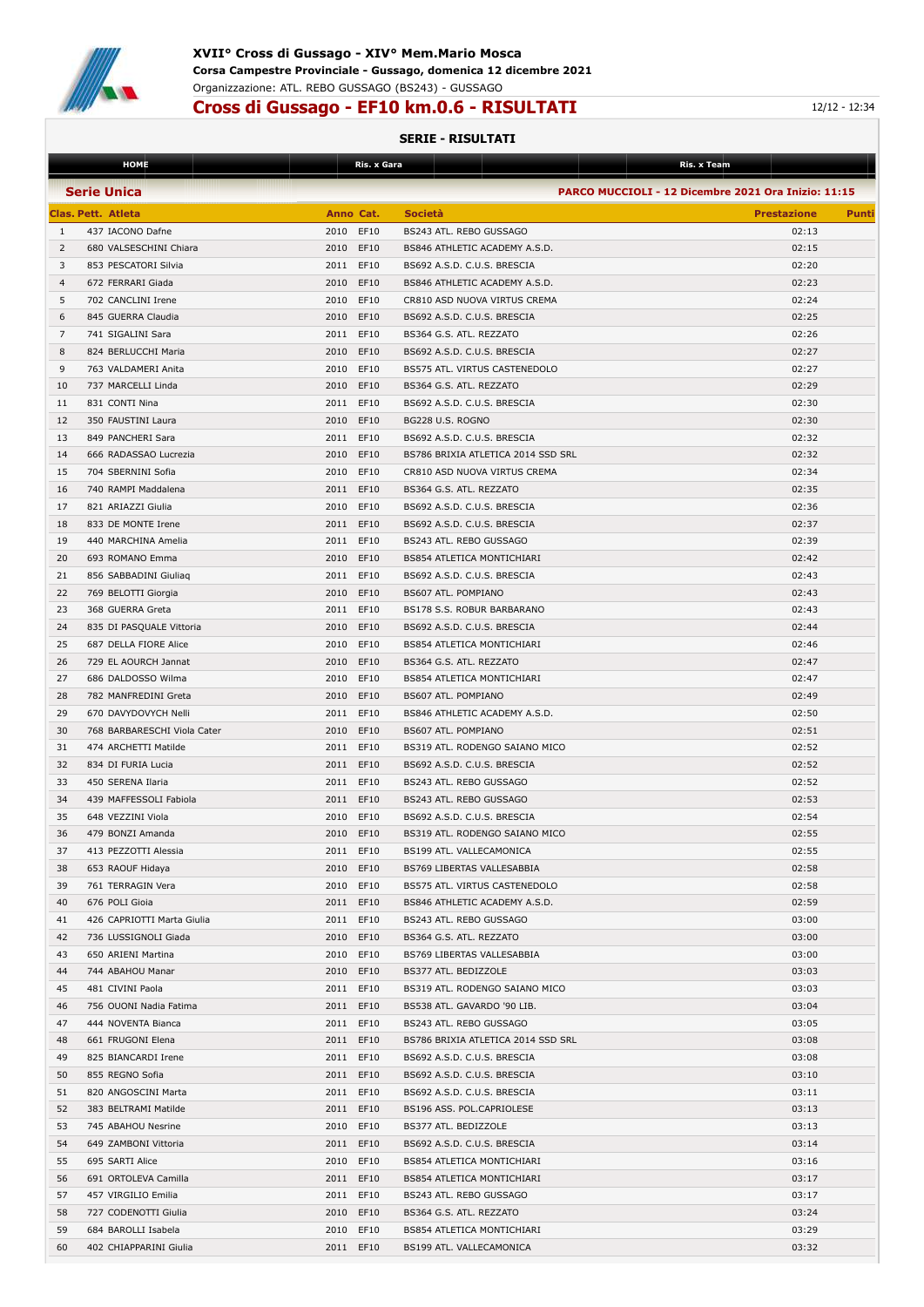

### **XVII° Cross di Gussago - XIV° Mem.Mario Mosca Corsa Campestre Provinciale - Gussago, domenica 12 dicembre 2021** Organizzazione: ATL. REBO GUSSAGO (BS243) - GUSSAGO

## **Cross di Gussago - EF10 km.0.6 - RISULTATI** 12/12 - 12:34

|                | <b>HOME</b>                 |           | Ris. x Gara | Ris. x Team                                         |                    |       |
|----------------|-----------------------------|-----------|-------------|-----------------------------------------------------|--------------------|-------|
|                | <b>Serie Unica</b>          |           |             | PARCO MUCCIOLI - 12 Dicembre 2021 Ora Inizio: 11:15 |                    |       |
|                |                             |           |             |                                                     |                    |       |
|                | Clas. Pett. Atleta          | Anno Cat. |             | <b>Società</b>                                      | <b>Prestazione</b> | Punti |
| 1              | 437 IACONO Dafne            | 2010 EF10 |             | BS243 ATL. REBO GUSSAGO                             | 02:13              |       |
| 2              | 680 VALSESCHINI Chiara      | 2010 EF10 |             | BS846 ATHLETIC ACADEMY A.S.D.                       | 02:15              |       |
| 3              | 853 PESCATORI Silvia        | 2011 EF10 |             | BS692 A.S.D. C.U.S. BRESCIA                         | 02:20              |       |
| $\overline{4}$ | 672 FERRARI Giada           | 2010 EF10 |             | BS846 ATHLETIC ACADEMY A.S.D.                       | 02:23              |       |
| 5              | 702 CANCLINI Irene          | 2010      | EF10        | CR810 ASD NUOVA VIRTUS CREMA                        | 02:24              |       |
| 6              | 845 GUERRA Claudia          | 2010 EF10 |             | BS692 A.S.D. C.U.S. BRESCIA                         | 02:25              |       |
| 7              | 741 SIGALINI Sara           | 2011 EF10 |             | BS364 G.S. ATL. REZZATO                             | 02:26              |       |
| 8              | 824 BERLUCCHI Maria         | 2010 EF10 |             | BS692 A.S.D. C.U.S. BRESCIA                         | 02:27              |       |
| 9              | 763 VALDAMERI Anita         | 2010 EF10 |             | BS575 ATL. VIRTUS CASTENEDOLO                       | 02:27              |       |
| 10             | 737 MARCELLI Linda          | 2010 EF10 |             | BS364 G.S. ATL. REZZATO                             | 02:29              |       |
|                |                             |           |             |                                                     | 02:30              |       |
| 11             | 831 CONTI Nina              | 2011 EF10 |             | BS692 A.S.D. C.U.S. BRESCIA                         |                    |       |
| 12             | 350 FAUSTINI Laura          | 2010 EF10 |             | BG228 U.S. ROGNO                                    | 02:30              |       |
| 13             | 849 PANCHERI Sara           | 2011 EF10 |             | BS692 A.S.D. C.U.S. BRESCIA                         | 02:32              |       |
| 14             | 666 RADASSAO Lucrezia       | 2010 EF10 |             | BS786 BRIXIA ATLETICA 2014 SSD SRL                  | 02:32              |       |
| 15             | 704 SBERNINI Sofia          | 2010 EF10 |             | CR810 ASD NUOVA VIRTUS CREMA                        | 02:34              |       |
| 16             | 740 RAMPI Maddalena         | 2011 EF10 |             | BS364 G.S. ATL. REZZATO                             | 02:35              |       |
| 17             | 821 ARIAZZI Giulia          | 2010 EF10 |             | BS692 A.S.D. C.U.S. BRESCIA                         | 02:36              |       |
| 18             | 833 DE MONTE Irene          | 2011 EF10 |             | BS692 A.S.D. C.U.S. BRESCIA                         | 02:37              |       |
| 19             | 440 MARCHINA Amelia         | 2011 EF10 |             | BS243 ATL. REBO GUSSAGO                             | 02:39              |       |
| 20             | 693 ROMANO Emma             | 2010 EF10 |             | BS854 ATLETICA MONTICHIARI                          | 02:42              |       |
| 21             | 856 SABBADINI Giuliag       | 2011 EF10 |             | BS692 A.S.D. C.U.S. BRESCIA                         | 02:43              |       |
| 22             | 769 BELOTTI Giorgia         | 2010 EF10 |             | BS607 ATL. POMPIANO                                 | 02:43              |       |
| 23             | 368 GUERRA Greta            | 2011 EF10 |             | BS178 S.S. ROBUR BARBARANO                          | 02:43              |       |
| 24             | 835 DI PASQUALE Vittoria    | 2010 EF10 |             | BS692 A.S.D. C.U.S. BRESCIA                         | 02:44              |       |
| 25             |                             |           |             |                                                     |                    |       |
|                | 687 DELLA FIORE Alice       | 2010 EF10 |             | BS854 ATLETICA MONTICHIARI                          | 02:46              |       |
| 26             | 729 EL AOURCH Jannat        | 2010 EF10 |             | BS364 G.S. ATL. REZZATO                             | 02:47              |       |
| 27             | 686 DALDOSSO Wilma          | 2010 EF10 |             | BS854 ATLETICA MONTICHIARI                          | 02:47              |       |
| 28             | 782 MANFREDINI Greta        | 2010 EF10 |             | BS607 ATL. POMPIANO                                 | 02:49              |       |
| 29             | 670 DAVYDOVYCH Nelli        | 2011 EF10 |             | BS846 ATHLETIC ACADEMY A.S.D.                       | 02:50              |       |
| 30             | 768 BARBARESCHI Viola Cater | 2010 EF10 |             | BS607 ATL. POMPIANO                                 | 02:51              |       |
| 31             | 474 ARCHETTI Matilde        | 2011 EF10 |             | BS319 ATL. RODENGO SAIANO MICO                      | 02:52              |       |
| 32             | 834 DI FURIA Lucia          | 2011 EF10 |             | BS692 A.S.D. C.U.S. BRESCIA                         | 02:52              |       |
| 33             | 450 SERENA Ilaria           | 2011 EF10 |             | BS243 ATL. REBO GUSSAGO                             | 02:52              |       |
| 34             | 439 MAFFESSOLI Fabiola      | 2011 EF10 |             | BS243 ATL. REBO GUSSAGO                             | 02:53              |       |
| 35             | 648 VEZZINI Viola           | 2010 EF10 |             | BS692 A.S.D. C.U.S. BRESCIA                         | 02:54              |       |
| 36             | 479 BONZI Amanda            | 2010 EF10 |             | BS319 ATL. RODENGO SAIANO MICO                      | 02:55              |       |
| 37             | 413 PEZZOTTI Alessia        | 2011 EF10 |             | BS199 ATL. VALLECAMONICA                            | 02:55              |       |
| 38             | 653 RAOUF Hidaya            | 2010 EF10 |             | BS769 LIBERTAS VALLESABBIA                          | 02:58              |       |
| 39             | 761 TERRAGIN Vera           | 2010 EF10 |             | BS575 ATL. VIRTUS CASTENEDOLO                       | 02:58              |       |
| 40             | 676 POLI Gioia              | 2011 EF10 |             | BS846 ATHLETIC ACADEMY A.S.D.                       | 02:59              |       |
|                |                             |           |             |                                                     |                    |       |
| 41             | 426 CAPRIOTTI Marta Giulia  | 2011 EF10 |             | BS243 ATL. REBO GUSSAGO                             | 03:00              |       |
| 42             | 736 LUSSIGNOLI Giada        | 2010 EF10 |             | BS364 G.S. ATL. REZZATO                             | 03:00              |       |
| 43             | 650 ARIENI Martina          | 2010 EF10 |             | BS769 LIBERTAS VALLESABBIA                          | 03:00              |       |
| 44             | 744 ABAHOU Manar            | 2010 EF10 |             | BS377 ATL. BEDIZZOLE                                | 03:03              |       |
| 45             | 481 CIVINI Paola            | 2011 EF10 |             | BS319 ATL. RODENGO SAIANO MICO                      | 03:03              |       |
| 46             | 756 OUONI Nadia Fatima      | 2011 EF10 |             | BS538 ATL. GAVARDO '90 LIB.                         | 03:04              |       |
| 47             | 444 NOVENTA Bianca          | 2011 EF10 |             | BS243 ATL. REBO GUSSAGO                             | 03:05              |       |
| 48             | 661 FRUGONI Elena           | 2011 EF10 |             | BS786 BRIXIA ATLETICA 2014 SSD SRL                  | 03:08              |       |
| 49             | 825 BIANCARDI Irene         | 2011 EF10 |             | BS692 A.S.D. C.U.S. BRESCIA                         | 03:08              |       |
| 50             | 855 REGNO Sofia             | 2011 EF10 |             | BS692 A.S.D. C.U.S. BRESCIA                         | 03:10              |       |
| 51             | 820 ANGOSCINI Marta         | 2011 EF10 |             | BS692 A.S.D. C.U.S. BRESCIA                         | 03:11              |       |
| 52             | 383 BELTRAMI Matilde        | 2011 EF10 |             | BS196 ASS. POL.CAPRIOLESE                           | 03:13              |       |
| 53             | 745 ABAHOU Nesrine          | 2010 EF10 |             | BS377 ATL. BEDIZZOLE                                | 03:13              |       |
| 54             | 649 ZAMBONI Vittoria        | 2011 EF10 |             | BS692 A.S.D. C.U.S. BRESCIA                         | 03:14              |       |
| 55             | 695 SARTI Alice             | 2010 EF10 |             | BS854 ATLETICA MONTICHIARI                          | 03:16              |       |
|                |                             |           |             |                                                     |                    |       |
| 56             | 691 ORTOLEVA Camilla        | 2011 EF10 |             | BS854 ATLETICA MONTICHIARI                          | 03:17              |       |
| 57             | 457 VIRGILIO Emilia         | 2011 EF10 |             | BS243 ATL. REBO GUSSAGO                             | 03:17              |       |
| 58             | 727 CODENOTTI Giulia        | 2010 EF10 |             | BS364 G.S. ATL. REZZATO                             | 03:24              |       |
| 59             | 684 BAROLLI Isabela         | 2010 EF10 |             | BS854 ATLETICA MONTICHIARI                          | 03:29              |       |
| 60             | 402 CHIAPPARINI Giulia      | 2011 EF10 |             | BS199 ATL. VALLECAMONICA                            | 03:32              |       |